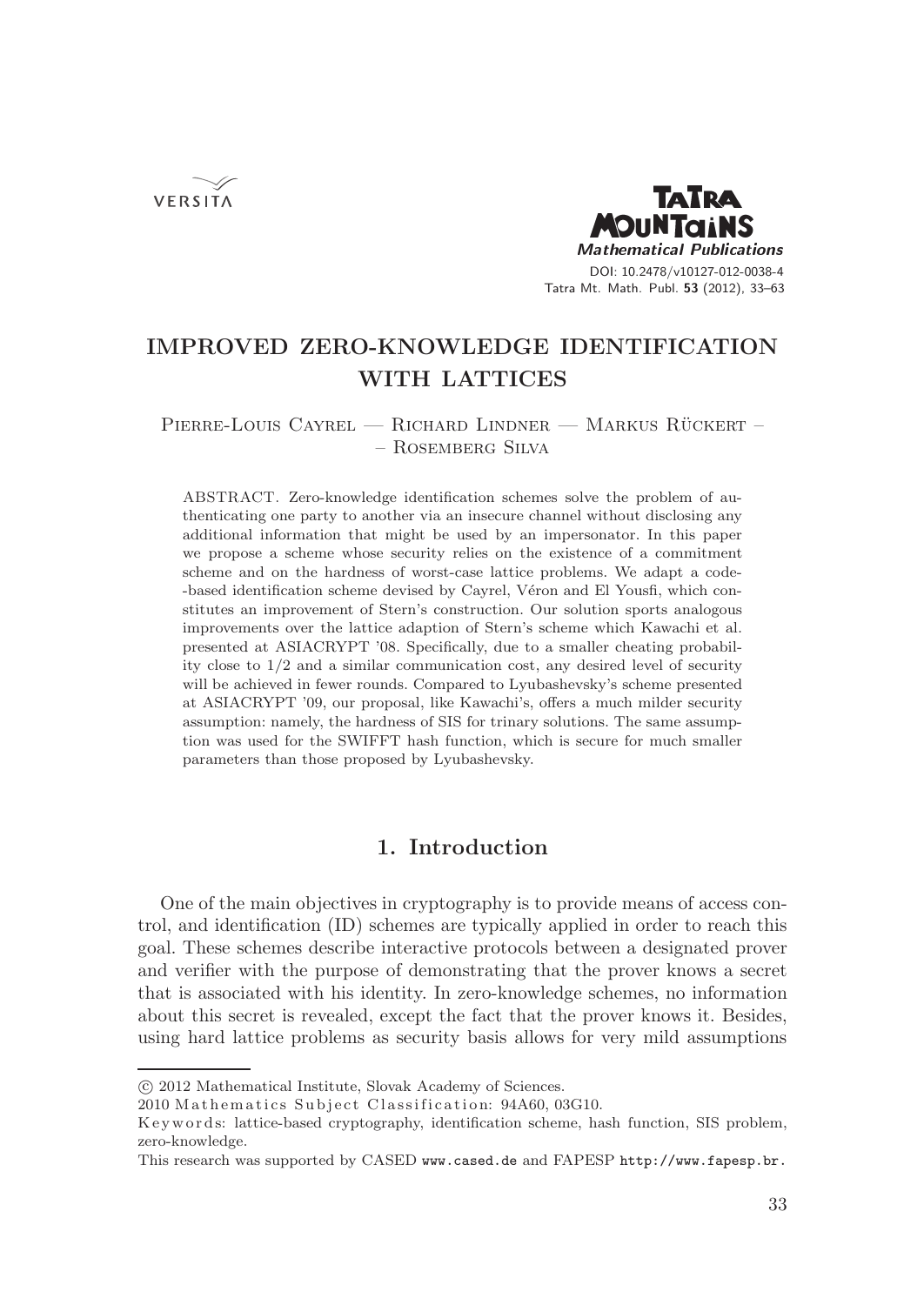



## PIERRE-LOUIS CAYREL — RICHARD LINDNER — MARKUS RÜCKERT -– Rosemberg Silva

ABSTRACT. Zero-knowledge identification schemes solve the problem of authenticating one party to another via an insecure channel without disclosing any additional information that might be used by an impersonator. In this paper we propose a scheme whose security relies on the existence of a commitment scheme and on the hardness of worst-case lattice problems. We adapt a code- -based identification scheme devised by Cayrel, Véron and El Yousfi, which constitutes an improvement of Stern's construction. Our solution sports analogous improvements over the lattice adaption of Stern's scheme which Kawachi et al. presented at ASIACRYPT '08. Specifically, due to a smaller cheating probability close to 1*/*2 and a similar communication cost, any desired level of security will be achieved in fewer rounds. Compared to Lyubashevsky's scheme presented at ASIACRYPT '09, our proposal, like Kawachi's, offers a much milder security assumption: namely, the hardness of SIS for trinary solutions. The same assumption was used for the SWIFFT hash function, which is secure for much smaller parameters than those proposed by Lyubashevsky.

## **1. Introduction**

One of the main objectives in cryptography is to provide means of access control, and identification (ID) schemes are typically applied in order to reach this goal. These schemes describe interactive protocols between a designated prover and verifier with the purpose of demonstrating that the prover knows a secret that is associated with his identity. In zero-knowledge schemes, no information about this secret is revealed, except the fact that the prover knows it. Besides, using hard lattice problems as security basis allows for very mild assumptions

<sup>-</sup>c 2012 Mathematical Institute, Slovak Academy of Sciences.

<sup>2010</sup> Mathematics Subject Classification: 94A60, 03G10.

K ey w ords: lattice-based cryptography, identification scheme, hash function, SIS problem, zero-knowledge.

This research was supported by CASED www.cased.de and FAPESP http://www.fapesp.br.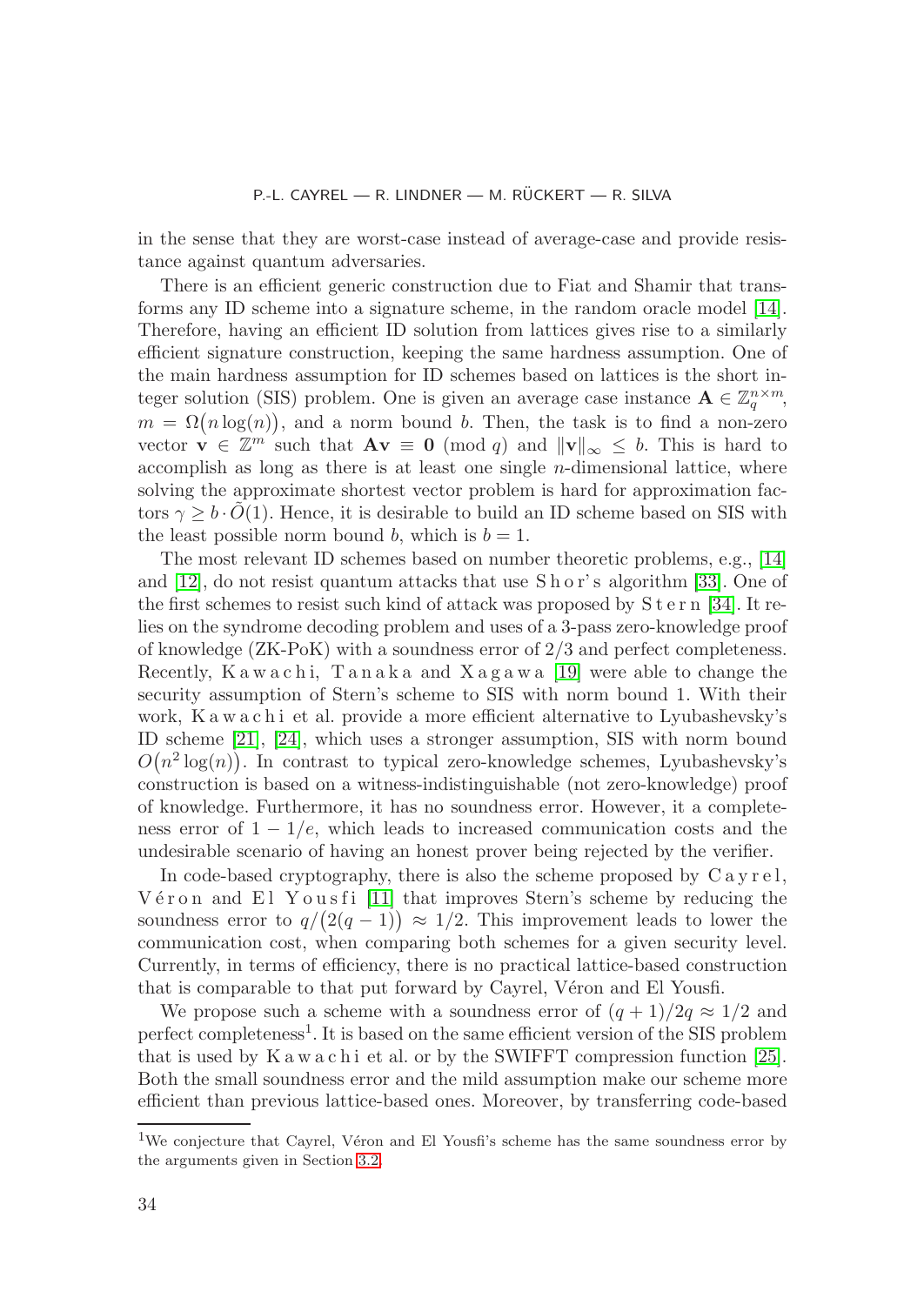in the sense that they are worst-case instead of average-case and provide resistance against quantum adversaries.

There is an efficient generic construction due to Fiat and Shamir that transforms any ID scheme into a signature scheme, in the random oracle model [14]. Therefore, having an efficient ID solution from lattices gives rise to a similarly efficient signature construction, keeping the same hardness assumption. One of the main hardness assumption for ID schemes based on lattices is the short integer solution (SIS) problem. One is given an average case instance  $\mathbf{A} \in \mathbb{Z}_a^{n \times m}$ ,  $m = \Omega(n \log(n))$ , and a norm bound b. Then, the task is to find a non-zero vector  $\mathbf{v} \in \mathbb{Z}^m$  such that  $A\mathbf{v} \equiv \mathbf{0} \pmod{q}$  and  $\|\mathbf{v}\|_{\infty} \leq b$ . This is hard to accomplish as long as there is at least one single n-dimensional lattice, where solving the approximate shortest vector problem is hard for approximation factors  $\gamma \geq b \cdot O(1)$ . Hence, it is desirable to build an ID scheme based on SIS with the least possible norm bound b, which is  $b = 1$ .

The most relevant ID schemes based on number theoretic problems, e.g., [14] and [12], do not resist quantum attacks that use S h o r' s algorithm [33]. One of the first schemes to resist such kind of attack was proposed by S t e r n [34]. It relies on the syndrome decoding problem and uses of a 3-pass zero-knowledge proof of knowledge (ZK-PoK) with a soundness error of 2/3 and perfect completeness. Recently,  $K$  a w a c h i,  $T$  a n a k a and  $X$  a g a w a  $[19]$  were able to change the security assumption of Stern's scheme to SIS with norm bound 1. With their work, K a w a c h i et al. provide a more efficient alternative to Lyubashevsky's ID scheme [21], [24], which uses a stronger assumption, SIS with norm bound  $O(n^2 \log(n))$ . In contrast to typical zero-knowledge schemes, Lyubashevsky's construction is based on a witness-indistinguishable (not zero-knowledge) proof of knowledge. Furthermore, it has no soundness error. However, it a completeness error of  $1 - 1/e$ , which leads to increased communication costs and the undesirable scenario of having an honest prover being rejected by the verifier.

In code-based cryptography, there is also the scheme proposed by  $Cayre1$ , V  $\acute{e}$  r on and E l Y ou s f i [11] that improves Stern's scheme by reducing the soundness error to  $q/(2(q-1)) \approx 1/2$ . This improvement leads to lower the communication cost, when comparing both schemes for a given security level. Currently, in terms of efficiency, there is no practical lattice-based construction that is comparable to that put forward by Cayrel, Véron and El Yousfi.

We propose such a scheme with a soundness error of  $(q + 1)/2q \approx 1/2$  and perfect completeness<sup>1</sup>. It is based on the same efficient version of the SIS problem that is used by  $K$  a w a c h i et al. or by the SWIFFT compression function [25]. Both the small soundness error and the mild assumption make our scheme more efficient than previous lattice-based ones. Moreover, by transferring code-based

<sup>&</sup>lt;sup>1</sup>We conjecture that Cayrel, Véron and El Yousfi's scheme has the same soundness error by the arguments given in Section 3.2.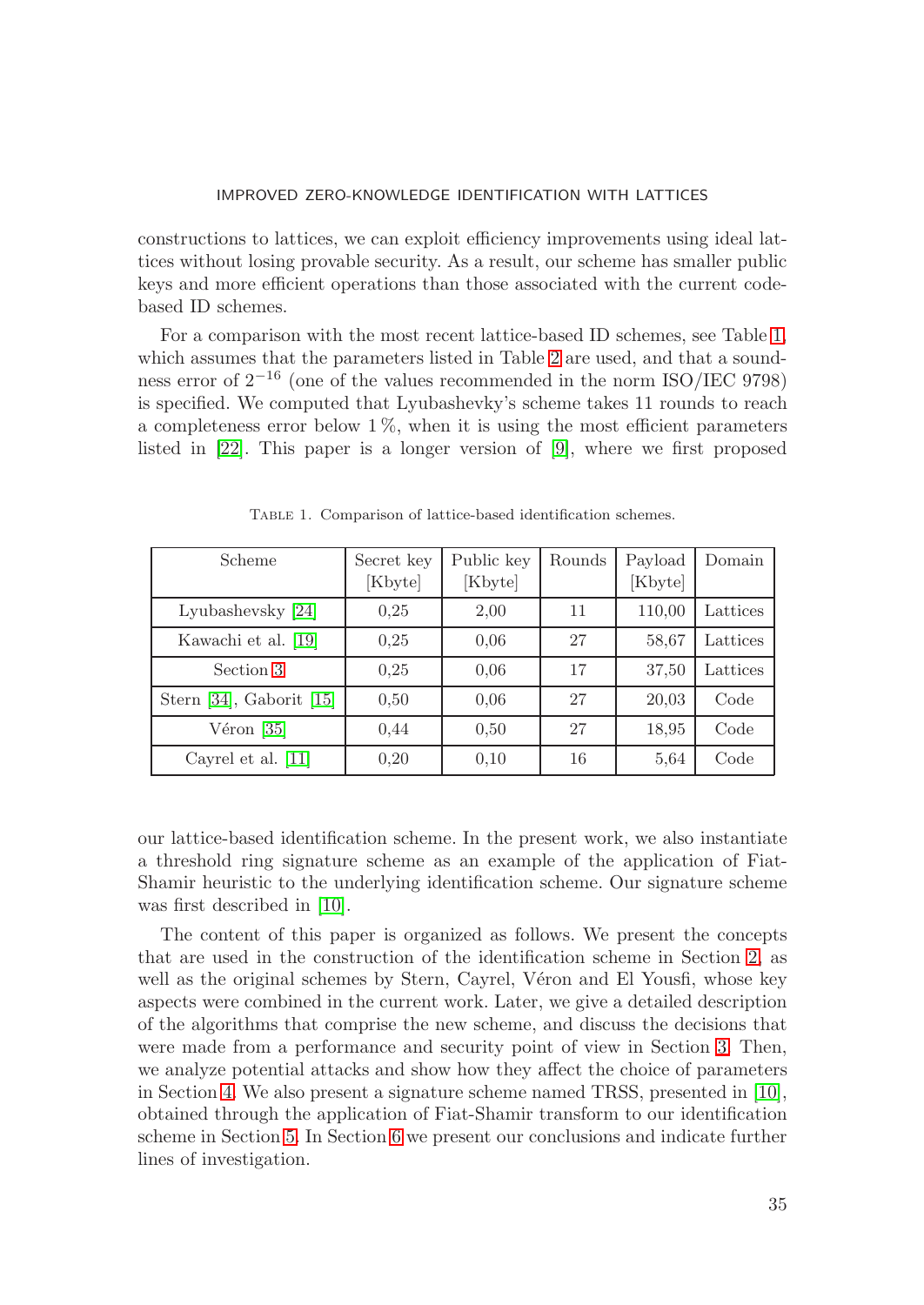constructions to lattices, we can exploit efficiency improvements using ideal lattices without losing provable security. As a result, our scheme has smaller public keys and more efficient operations than those associated with the current codebased ID schemes.

For a comparison with the most recent lattice-based ID schemes, see Table 1, which assumes that the parameters listed in Table 2 are used, and that a soundness error of  $2^{-16}$  (one of the values recommended in the norm ISO/IEC 9798) is specified. We computed that Lyubashevky's scheme takes 11 rounds to reach a completeness error below  $1\%$ , when it is using the most efficient parameters listed in [22]. This paper is a longer version of [9], where we first proposed

| Scheme                        | Secret key<br>[Kbyte] | Public key<br>[Kbyte] | Rounds | Payload<br>[Kbyte] | Domain   |
|-------------------------------|-----------------------|-----------------------|--------|--------------------|----------|
| Lyubashevsky [24]             | 0.25                  | 2,00                  | 11     | 110,00             | Lattices |
| Kawachi et al. [19]           | 0.25                  | 0.06                  | 27     | 58,67              | Lattices |
| Section 3                     | 0.25                  | 0.06                  | 17     | 37,50              | Lattices |
| Stern $[34]$ , Gaborit $[15]$ | 0.50                  | 0.06                  | 27     | 20,03              | Code     |
| Véron $[35]$                  | 0.44                  | 0.50                  | 27     | 18,95              | Code     |
| Cayrel et al. $[11]$          | 0.20                  | 0.10                  | 16     | 5,64               | Code     |

Table 1. Comparison of lattice-based identification schemes.

our lattice-based identification scheme. In the present work, we also instantiate a threshold ring signature scheme as an example of the application of Fiat-Shamir heuristic to the underlying identification scheme. Our signature scheme was first described in [10].

The content of this paper is organized as follows. We present the concepts that are used in the construction of the identification scheme in Section 2, as well as the original schemes by Stern, Cayrel, Véron and El Yousfi, whose key aspects were combined in the current work. Later, we give a detailed description of the algorithms that comprise the new scheme, and discuss the decisions that were made from a performance and security point of view in Section 3. Then, we analyze potential attacks and show how they affect the choice of parameters in Section 4. We also present a signature scheme named TRSS, presented in [10], obtained through the application of Fiat-Shamir transform to our identification scheme in Section 5. In Section 6 we present our conclusions and indicate further lines of investigation.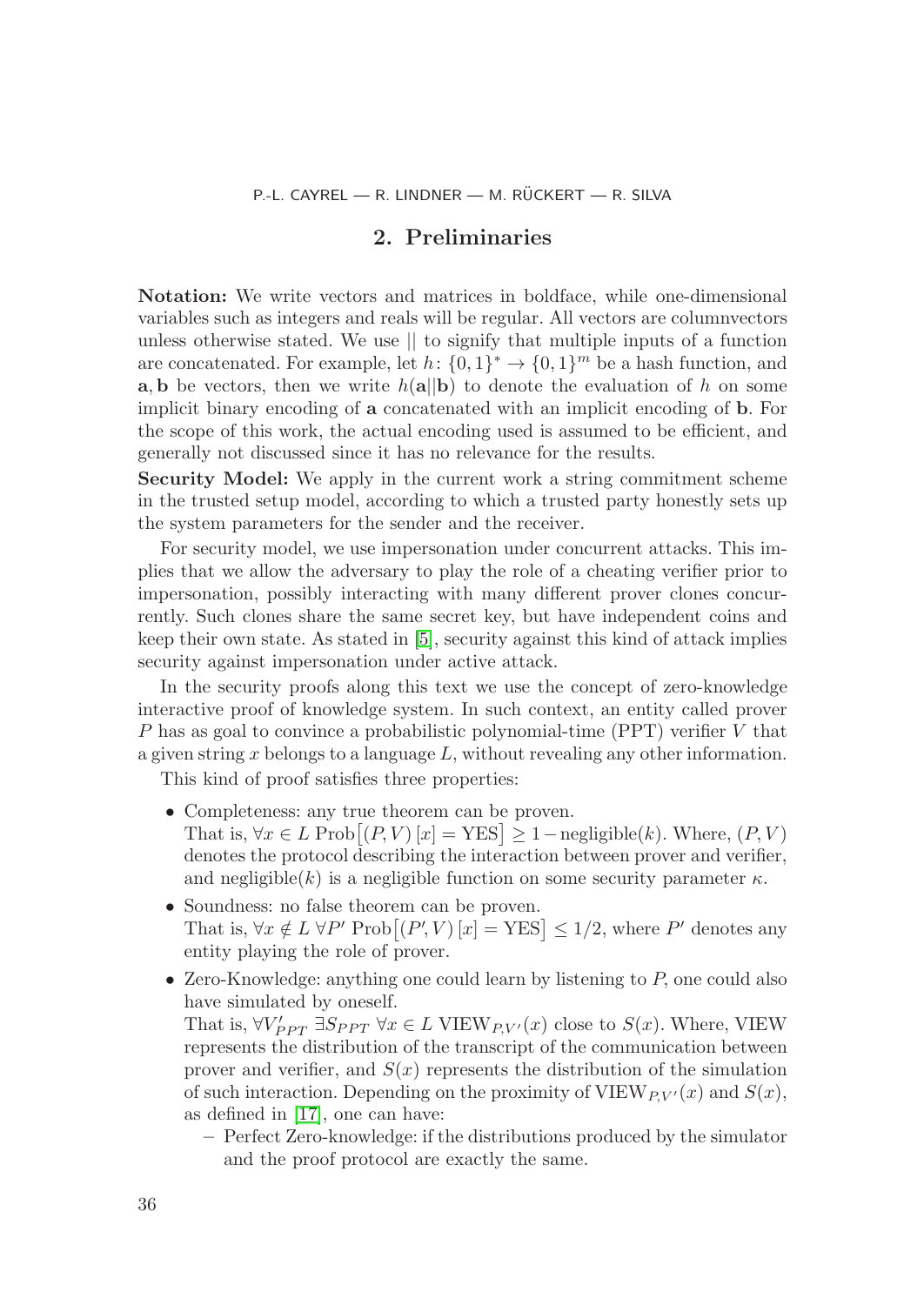## **2. Preliminaries**

**Notation:** We write vectors and matrices in boldface, while one-dimensional variables such as integers and reals will be regular. All vectors are columnvectors unless otherwise stated. We use || to signify that multiple inputs of a function are concatenated. For example, let  $h: \{0,1\}^* \to \{0,1\}^m$  be a hash function, and **a**, **b** be vectors, then we write  $h(\mathbf{a}||\mathbf{b})$  to denote the evaluation of h on some implicit binary encoding of **a** concatenated with an implicit encoding of **b**. For the scope of this work, the actual encoding used is assumed to be efficient, and generally not discussed since it has no relevance for the results.

**Security Model:** We apply in the current work a string commitment scheme in the trusted setup model, according to which a trusted party honestly sets up the system parameters for the sender and the receiver.

For security model, we use impersonation under concurrent attacks. This implies that we allow the adversary to play the role of a cheating verifier prior to impersonation, possibly interacting with many different prover clones concurrently. Such clones share the same secret key, but have independent coins and keep their own state. As stated in [5], security against this kind of attack implies security against impersonation under active attack.

In the security proofs along this text we use the concept of zero-knowledge interactive proof of knowledge system. In such context, an entity called prover P has as goal to convince a probabilistic polynomial-time (PPT) verifier  $V$  that a given string x belongs to a language  $L$ , without revealing any other information.

This kind of proof satisfies three properties:

- Completeness: any true theorem can be proven. That is,  $\forall x \in L \text{ Prob}[(P, V) [x] = \text{YES}] \ge 1 - \text{negligible}(k)$ . Where,  $(P, V)$ denotes the protocol describing the interaction between prover and verifier, and negligible(k) is a negligible function on some security parameter  $\kappa$ .
- Soundness: no false theorem can be proven. That is,  $\forall x \notin L \ \forall P' \ \text{Prob}[(P', V) [x] = \text{YES}] \leq 1/2$ , where P' denotes any entity playing the role of prover.
- Zero-Knowledge: anything one could learn by listening to P, one could also have simulated by oneself.

That is,  $\forall V'_{PPT} \exists S_{PPT} \ \forall x \in L \text{ VIEW}_{P,V'}(x) \text{ close to } S(x)$ . Where, VIEW represents the distribution of the transcript of the communication between prover and verifier, and  $S(x)$  represents the distribution of the simulation of such interaction. Depending on the proximity of  $VIEW_{P,V'}(x)$  and  $S(x)$ , as defined in [17], one can have:

**–** Perfect Zero-knowledge: if the distributions produced by the simulator and the proof protocol are exactly the same.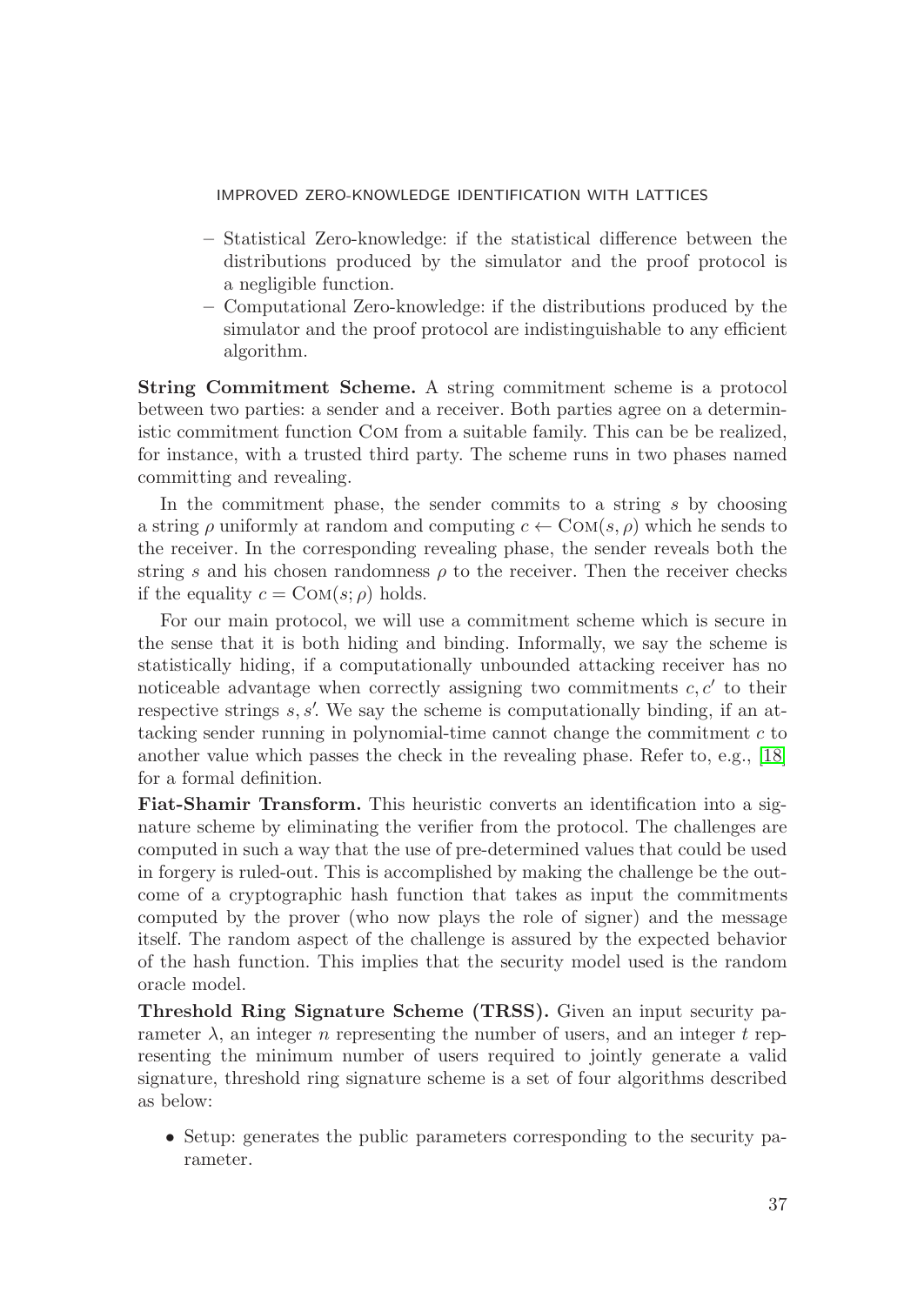- **–** Statistical Zero-knowledge: if the statistical difference between the distributions produced by the simulator and the proof protocol is a negligible function.
- **–** Computational Zero-knowledge: if the distributions produced by the simulator and the proof protocol are indistinguishable to any efficient algorithm.

**String Commitment Scheme.** A string commitment scheme is a protocol between two parties: a sender and a receiver. Both parties agree on a deterministic commitment function Com from a suitable family. This can be be realized, for instance, with a trusted third party. The scheme runs in two phases named committing and revealing.

In the commitment phase, the sender commits to a string  $s$  by choosing a string  $\rho$  uniformly at random and computing  $c \leftarrow \text{Com}(s, \rho)$  which he sends to the receiver. In the corresponding revealing phase, the sender reveals both the string s and his chosen randomness  $\rho$  to the receiver. Then the receiver checks if the equality  $c = \text{Com}(s; \rho)$  holds.

For our main protocol, we will use a commitment scheme which is secure in the sense that it is both hiding and binding. Informally, we say the scheme is statistically hiding, if a computationally unbounded attacking receiver has no noticeable advantage when correctly assigning two commitments  $c, c'$  to their respective strings  $s, s'$ . We say the scheme is computationally binding, if an attacking sender running in polynomial-time cannot change the commitment  $c$  to another value which passes the check in the revealing phase. Refer to, e.g., [18] for a formal definition.

**Fiat-Shamir Transform.** This heuristic converts an identification into a signature scheme by eliminating the verifier from the protocol. The challenges are computed in such a way that the use of pre-determined values that could be used in forgery is ruled-out. This is accomplished by making the challenge be the outcome of a cryptographic hash function that takes as input the commitments computed by the prover (who now plays the role of signer) and the message itself. The random aspect of the challenge is assured by the expected behavior of the hash function. This implies that the security model used is the random oracle model.

**Threshold Ring Signature Scheme (TRSS).** Given an input security parameter  $\lambda$ , an integer n representing the number of users, and an integer t representing the minimum number of users required to jointly generate a valid signature, threshold ring signature scheme is a set of four algorithms described as below:

• Setup: generates the public parameters corresponding to the security parameter.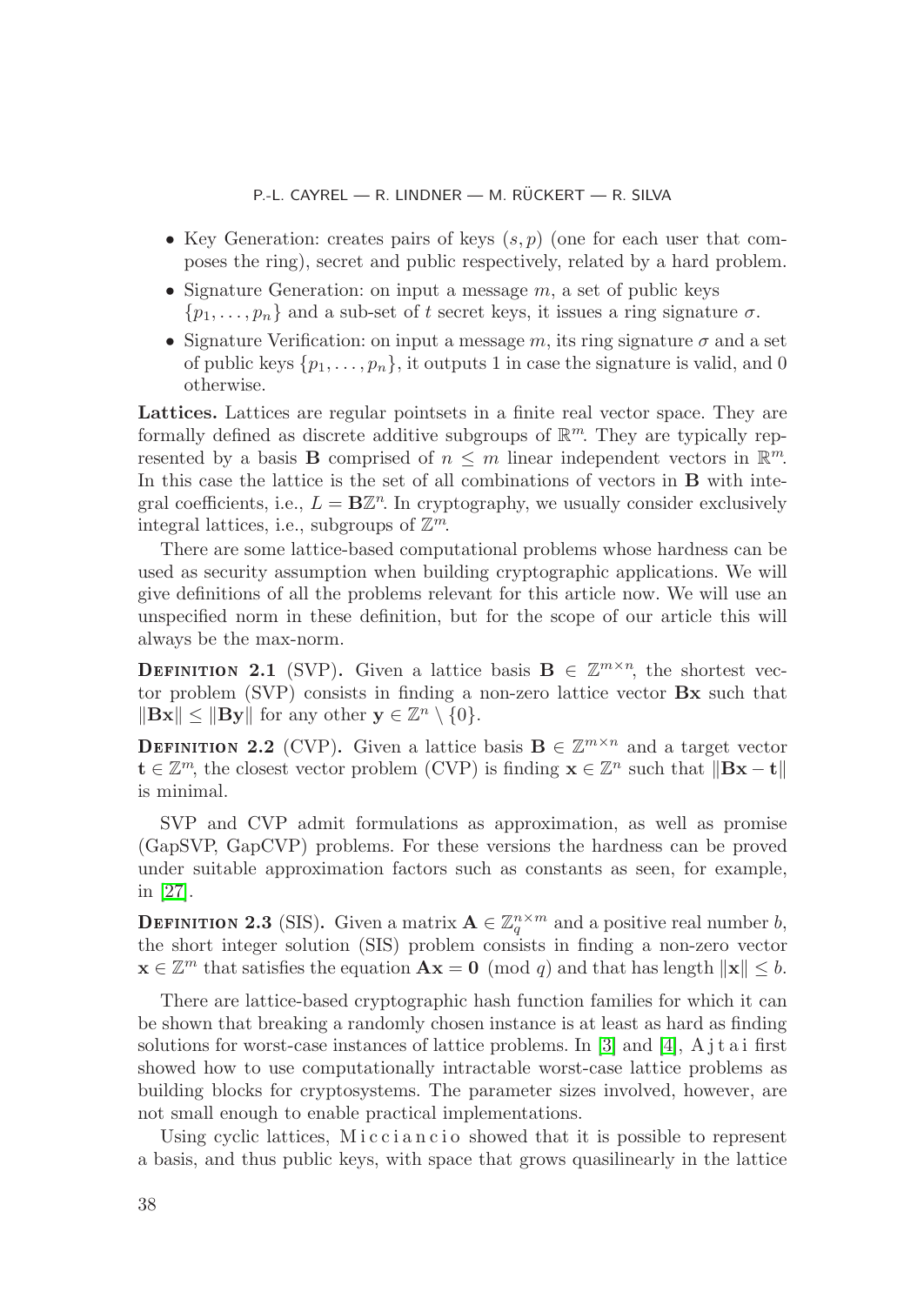- Key Generation: creates pairs of keys  $(s, p)$  (one for each user that composes the ring), secret and public respectively, related by a hard problem.
- Signature Generation: on input a message  $m$ , a set of public keys  $\{p_1,\ldots,p_n\}$  and a sub-set of t secret keys, it issues a ring signature  $\sigma$ .
- Signature Verification: on input a message m, its ring signature  $\sigma$  and a set of public keys  $\{p_1,\ldots,p_n\}$ , it outputs 1 in case the signature is valid, and 0 otherwise.

**Lattices.** Lattices are regular pointsets in a finite real vector space. They are formally defined as discrete additive subgroups of  $\mathbb{R}^m$ . They are typically represented by a basis **B** comprised of  $n \leq m$  linear independent vectors in  $\mathbb{R}^m$ . In this case the lattice is the set of all combinations of vectors in **B** with integral coefficients, i.e.,  $L = \mathbf{B}\mathbb{Z}^n$ . In cryptography, we usually consider exclusively integral lattices, i.e., subgroups of  $\mathbb{Z}^m$ .

There are some lattice-based computational problems whose hardness can be used as security assumption when building cryptographic applications. We will give definitions of all the problems relevant for this article now. We will use an unspecified norm in these definition, but for the scope of our article this will always be the max-norm.

**DEFINITION 2.1** (SVP). Given a lattice basis  $\mathbf{B} \in \mathbb{Z}^{m \times n}$ , the shortest vector problem (SVP) consists in finding a non-zero lattice vector **Bx** such that  $\|\mathbf{Bx}\| \leq \|\mathbf{By}\|$  for any other  $\mathbf{y} \in \mathbb{Z}^n \setminus \{0\}.$ 

**DEFINITION 2.2** (CVP). Given a lattice basis  $\mathbf{B} \in \mathbb{Z}^{m \times n}$  and a target vector **t** ∈  $\mathbb{Z}^m$ , the closest vector problem (CVP) is finding  $\mathbf{x} \in \mathbb{Z}^n$  such that  $\|\mathbf{Bx} - \mathbf{t}\|$ is minimal.

SVP and CVP admit formulations as approximation, as well as promise (GapSVP, GapCVP) problems. For these versions the hardness can be proved under suitable approximation factors such as constants as seen, for example, in [27].

**DEFINITION 2.3** (SIS). Given a matrix  $\mathbf{A} \in \mathbb{Z}_q^{n \times m}$  and a positive real number b, the short integer solution (SIS) problem consists in finding a non-zero vector  $\mathbf{x} \in \mathbb{Z}^m$  that satisfies the equation  $\mathbf{A}\mathbf{x} = \mathbf{0} \pmod{q}$  and that has length  $\|\mathbf{x}\| \leq b$ .

There are lattice-based cryptographic hash function families for which it can be shown that breaking a randomly chosen instance is at least as hard as finding solutions for worst-case instances of lattice problems. In  $[3]$  and  $[4]$ , A j t a i first showed how to use computationally intractable worst-case lattice problems as building blocks for cryptosystems. The parameter sizes involved, however, are not small enough to enable practical implementations.

Using cyclic lattices,  $M$  i c c i a n c i o showed that it is possible to represent a basis, and thus public keys, with space that grows quasilinearly in the lattice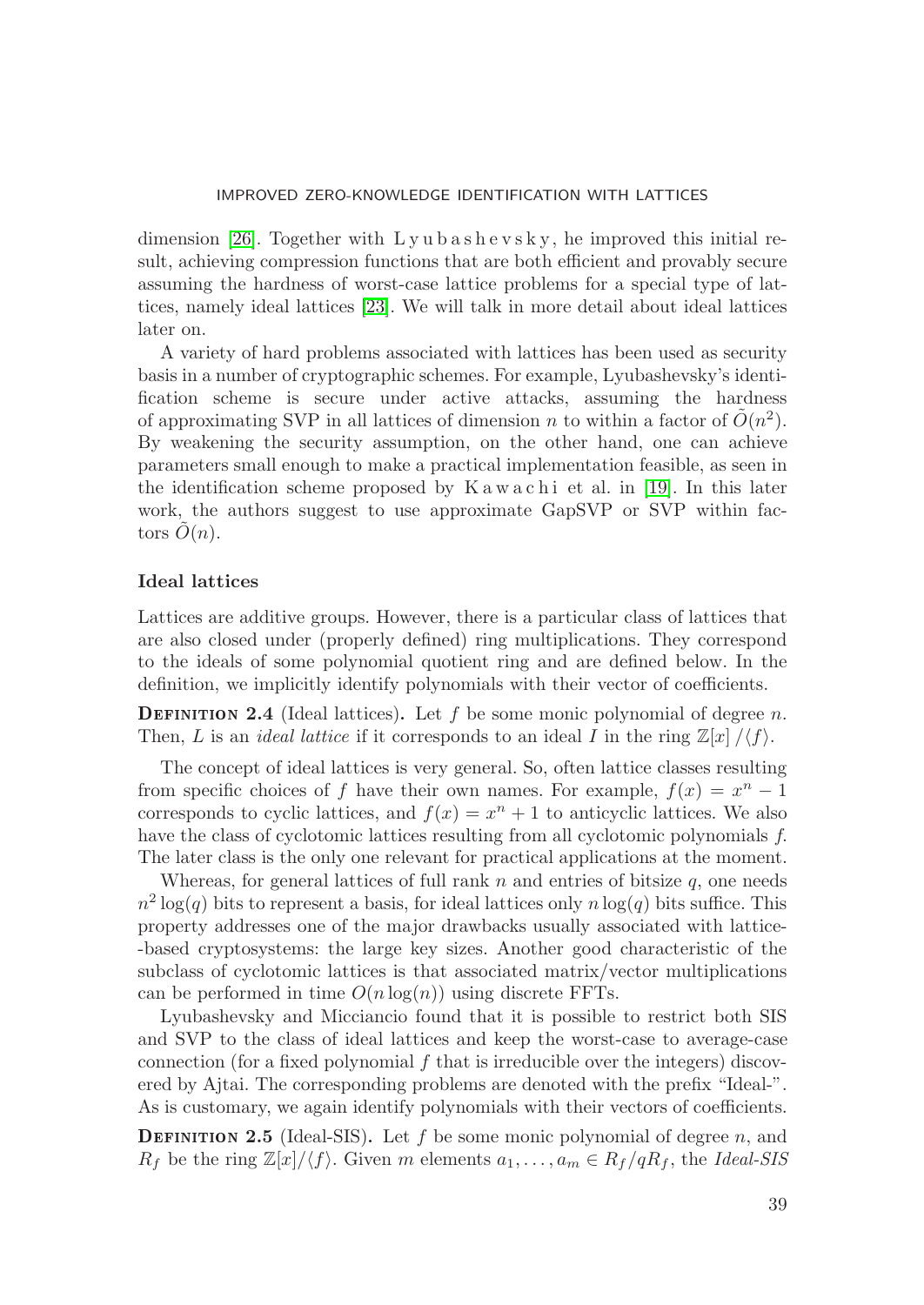dimension [26]. Together with L y u b a s h e v s k y, he improved this initial result, achieving compression functions that are both efficient and provably secure assuming the hardness of worst-case lattice problems for a special type of lattices, namely ideal lattices [23]. We will talk in more detail about ideal lattices later on.

A variety of hard problems associated with lattices has been used as security basis in a number of cryptographic schemes. For example, Lyubashevsky's identification scheme is secure under active attacks, assuming the hardness of approximating SVP in all lattices of dimension n to within a factor of  $O(n^2)$ . By weakening the security assumption, on the other hand, one can achieve parameters small enough to make a practical implementation feasible, as seen in the identification scheme proposed by  $K$  a w a c h i et al. in [19]. In this later work, the authors suggest to use approximate GapSVP or SVP within factors  $O(n)$ .

### **Ideal lattices**

Lattices are additive groups. However, there is a particular class of lattices that are also closed under (properly defined) ring multiplications. They correspond to the ideals of some polynomial quotient ring and are defined below. In the definition, we implicitly identify polynomials with their vector of coefficients.

**DEFINITION 2.4** (Ideal lattices). Let  $f$  be some monic polynomial of degree  $n$ . Then, L is an *ideal lattice* if it corresponds to an ideal I in the ring  $\mathbb{Z}[x]/\langle f \rangle$ .

The concept of ideal lattices is very general. So, often lattice classes resulting from specific choices of f have their own names. For example,  $f(x) = x^n - 1$ corresponds to cyclic lattices, and  $f(x) = x^n + 1$  to anticyclic lattices. We also have the class of cyclotomic lattices resulting from all cyclotomic polynomials f. The later class is the only one relevant for practical applications at the moment.

Whereas, for general lattices of full rank n and entries of bitsize  $q$ , one needs  $n^2 \log(q)$  bits to represent a basis, for ideal lattices only  $n \log(q)$  bits suffice. This property addresses one of the major drawbacks usually associated with lattice- -based cryptosystems: the large key sizes. Another good characteristic of the subclass of cyclotomic lattices is that associated matrix/vector multiplications can be performed in time  $O(n \log(n))$  using discrete FFTs.

Lyubashevsky and Micciancio found that it is possible to restrict both SIS and SVP to the class of ideal lattices and keep the worst-case to average-case connection (for a fixed polynomial  $f$  that is irreducible over the integers) discovered by Ajtai. The corresponding problems are denoted with the prefix "Ideal-". As is customary, we again identify polynomials with their vectors of coefficients.

**DEFINITION 2.5** (Ideal-SIS). Let  $f$  be some monic polynomial of degree  $n$ , and  $R_f$  be the ring  $\mathbb{Z}[x]/\langle f \rangle$ . Given m elements  $a_1, \ldots, a_m \in R_f/qR_f$ , the *Ideal-SIS*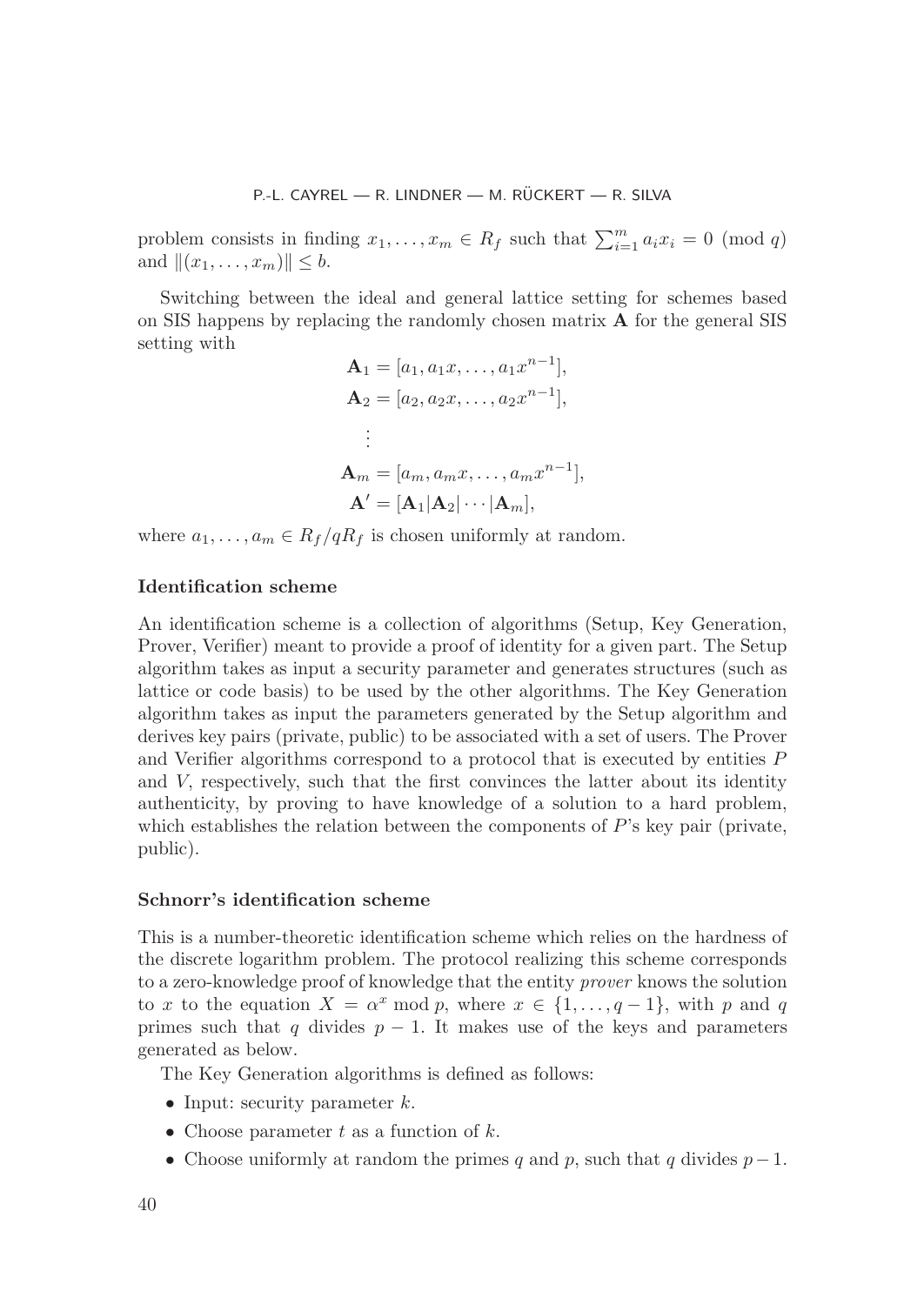P.-L. CAYREL — R. LINDNER — M. RÜCKERT — R. SILVA

problem consists in finding  $x_1, \ldots, x_m \in R_f$  such that  $\sum_{i=1}^m a_i x_i = 0 \pmod{q}$ and  $||(x_1,\ldots,x_m)|| \leq b$ .

Switching between the ideal and general lattice setting for schemes based on SIS happens by replacing the randomly chosen matrix **A** for the general SIS setting with

$$
\mathbf{A}_1 = [a_1, a_1 x, \dots, a_1 x^{n-1}],
$$
  
\n
$$
\mathbf{A}_2 = [a_2, a_2 x, \dots, a_2 x^{n-1}],
$$
  
\n
$$
\vdots
$$
  
\n
$$
\mathbf{A}_m = [a_m, a_m x, \dots, a_m x^{n-1}],
$$
  
\n
$$
\mathbf{A}' = [\mathbf{A}_1 | \mathbf{A}_2 | \dots | \mathbf{A}_m],
$$

where  $a_1, \ldots, a_m \in R_f/qR_f$  is chosen uniformly at random.

### **Identification scheme**

An identification scheme is a collection of algorithms (Setup, Key Generation, Prover, Verifier) meant to provide a proof of identity for a given part. The Setup algorithm takes as input a security parameter and generates structures (such as lattice or code basis) to be used by the other algorithms. The Key Generation algorithm takes as input the parameters generated by the Setup algorithm and derives key pairs (private, public) to be associated with a set of users. The Prover and Verifier algorithms correspond to a protocol that is executed by entities P and V, respectively, such that the first convinces the latter about its identity authenticity, by proving to have knowledge of a solution to a hard problem, which establishes the relation between the components of  $P$ 's key pair (private, public).

### **Schnorr's identification scheme**

This is a number-theoretic identification scheme which relies on the hardness of the discrete logarithm problem. The protocol realizing this scheme corresponds to a zero-knowledge proof of knowledge that the entity *prover* knows the solution to x to the equation  $X = \alpha^x \mod p$ , where  $x \in \{1, \ldots, q-1\}$ , with p and q primes such that q divides  $p - 1$ . It makes use of the keys and parameters generated as below.

The Key Generation algorithms is defined as follows:

- Input: security parameter  $k$ .
- Choose parameter  $t$  as a function of  $k$ .
- Choose uniformly at random the primes q and p, such that q divides  $p-1$ .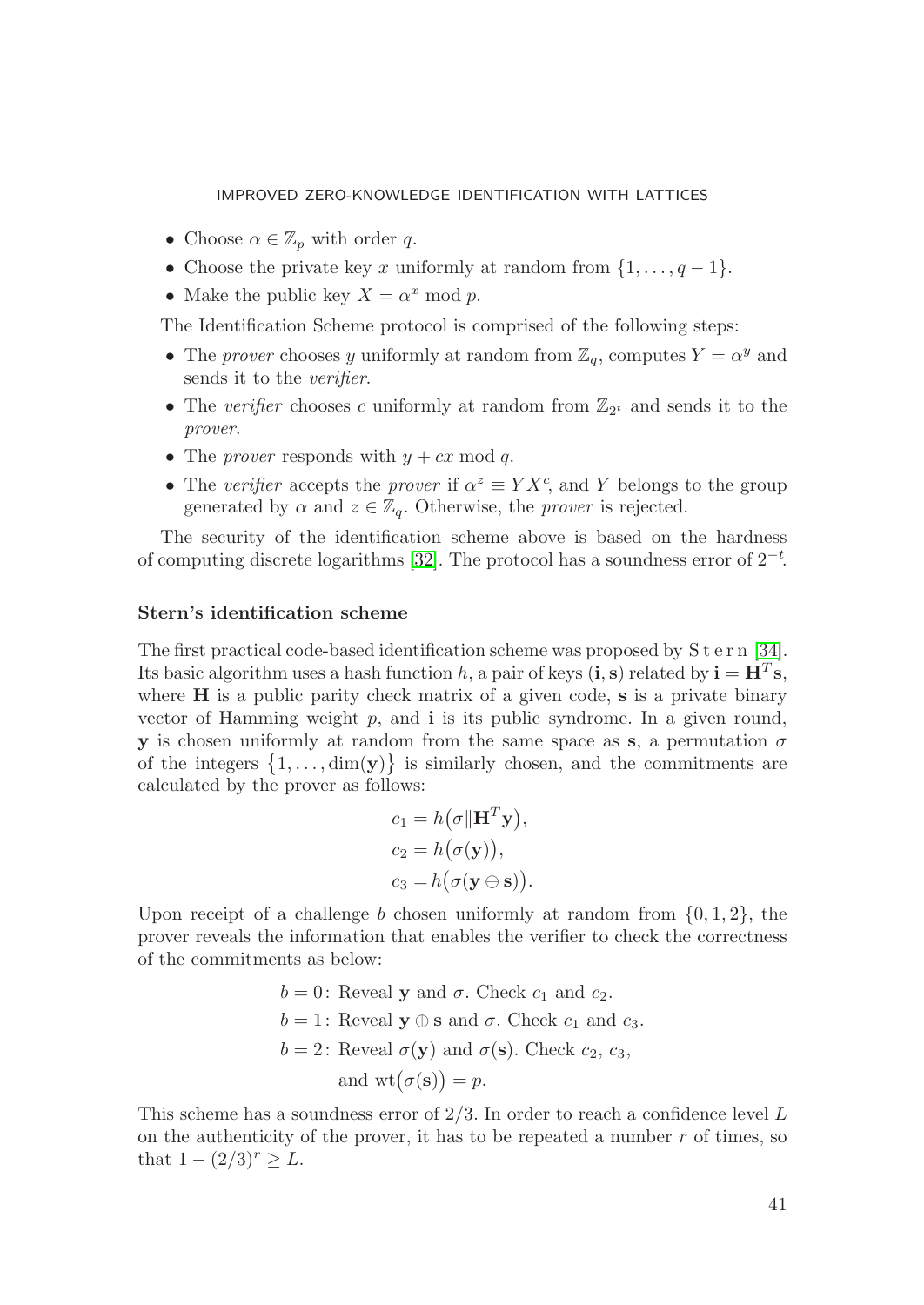- Choose  $\alpha \in \mathbb{Z}_p$  with order q.
- Choose the private key x uniformly at random from  $\{1,\ldots,q-1\}$ .
- Make the public key  $X = \alpha^x \mod p$ .

The Identification Scheme protocol is comprised of the following steps:

- The *prover* chooses y uniformly at random from  $\mathbb{Z}_q$ , computes  $Y = \alpha^y$  and sends it to the *verifier*.
- The *verifier* chooses c uniformly at random from  $\mathbb{Z}_{2^t}$  and sends it to the *prover*.
- The *prover* responds with  $y + cx$  mod q.
- The *verifier* accepts the *prover* if  $\alpha^z \equiv Y X^c$ , and Y belongs to the group generated by  $\alpha$  and  $z \in \mathbb{Z}_q$ . Otherwise, the *prover* is rejected.

The security of the identification scheme above is based on the hardness of computing discrete logarithms [32]. The protocol has a soundness error of  $2^{-t}$ .

### **Stern's identification scheme**

The first practical code-based identification scheme was proposed by S t e r n [34]. Its basic algorithm uses a hash function h, a pair of keys  $(i, s)$  related by  $\mathbf{i} = \mathbf{H}^T \mathbf{s}$ , where **H** is a public parity check matrix of a given code, **s** is a private binary vector of Hamming weight  $p$ , and **i** is its public syndrome. In a given round, **y** is chosen uniformly at random from the same space as **s**, a permutation  $\sigma$ of the integers  $\{1,\ldots,\dim(y)\}\$ is similarly chosen, and the commitments are calculated by the prover as follows:

$$
c_1 = h(\sigma || \mathbf{H}^T \mathbf{y}),
$$
  
\n
$$
c_2 = h(\sigma(\mathbf{y})),
$$
  
\n
$$
c_3 = h(\sigma(\mathbf{y} \oplus \mathbf{s})).
$$

Upon receipt of a challenge b chosen uniformly at random from  $\{0, 1, 2\}$ , the prover reveals the information that enables the verifier to check the correctness of the commitments as below:

> $b = 0$ : Reveal **y** and  $\sigma$ . Check  $c_1$  and  $c_2$ .  $b = 1$ : Reveal **y**  $\oplus$  **s** and  $\sigma$ . Check  $c_1$  and  $c_3$ .  $b = 2$ : Reveal  $\sigma(\mathbf{y})$  and  $\sigma(\mathbf{s})$ . Check  $c_2, c_3$ , and  $\text{wt}(\sigma(\mathbf{s})) = p$ .

This scheme has a soundness error of  $2/3$ . In order to reach a confidence level L on the authenticity of the prover, it has to be repeated a number  $r$  of times, so that  $1 - (2/3)^r > L$ .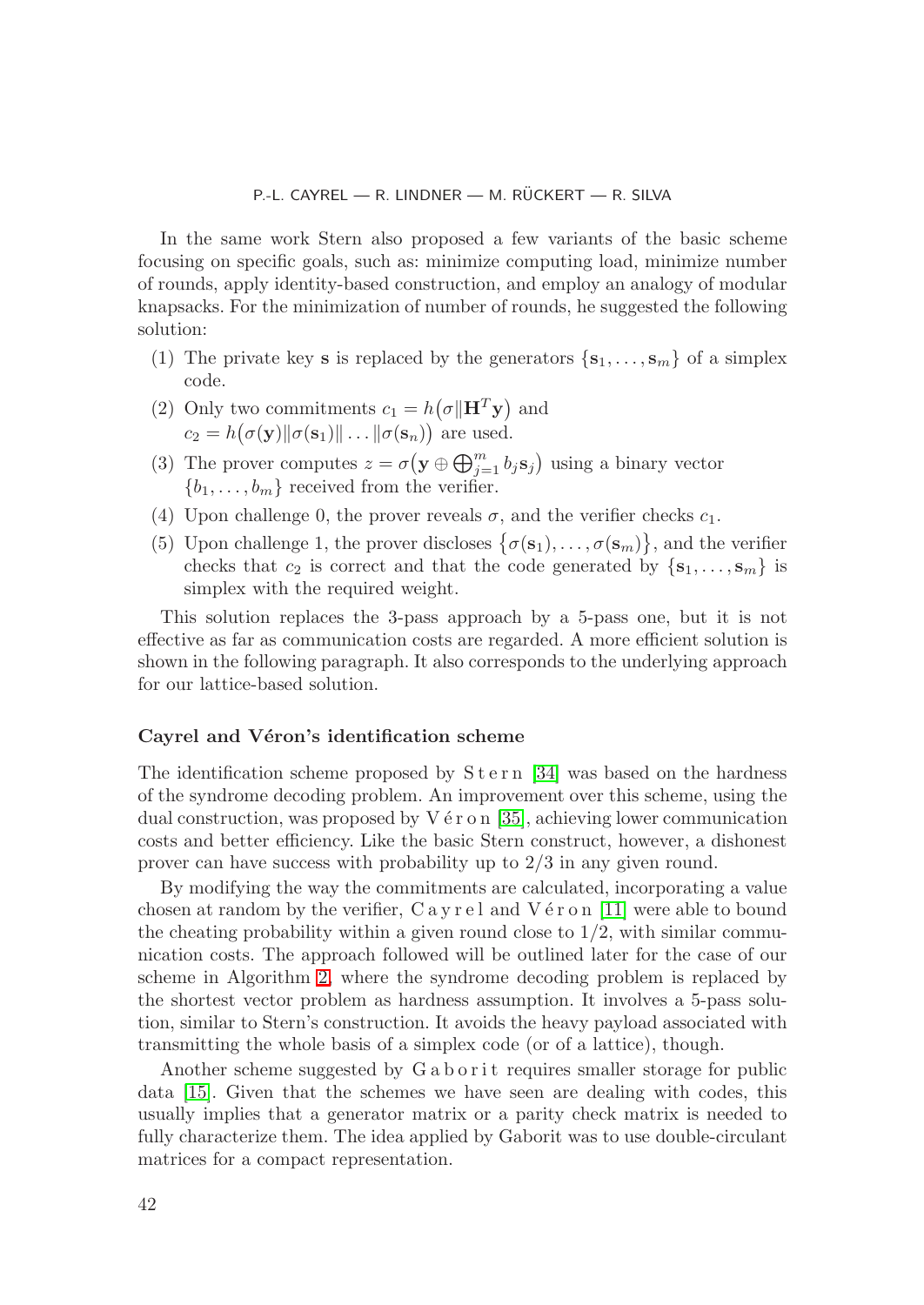In the same work Stern also proposed a few variants of the basic scheme focusing on specific goals, such as: minimize computing load, minimize number of rounds, apply identity-based construction, and employ an analogy of modular knapsacks. For the minimization of number of rounds, he suggested the following solution:

- (1) The private key **s** is replaced by the generators  $\{s_1, \ldots, s_m\}$  of a simplex code.
- (2) Only two commitments  $c_1 = h(\sigma \|\mathbf{H}^T \mathbf{y})$  and  $c_2 = h(\sigma(\mathbf{y})\|\sigma(\mathbf{s}_1)\| \dots \|\sigma(\mathbf{s}_n))$  are used.
- (3) The prover computes  $z = \sigma(\mathbf{y} \oplus \bigoplus_{j=1}^{m} b_j \mathbf{s}_j)$  using a binary vector  ${b_1, \ldots, b_m}$  received from the verifier.
- (4) Upon challenge 0, the prover reveals  $\sigma$ , and the verifier checks  $c_1$ .
- (5) Upon challenge 1, the prover discloses  $\{\sigma(s_1), \ldots, \sigma(s_m)\}\$ , and the verifier checks that  $c_2$  is correct and that the code generated by  $\{s_1, \ldots, s_m\}$  is simplex with the required weight.

This solution replaces the 3-pass approach by a 5-pass one, but it is not effective as far as communication costs are regarded. A more efficient solution is shown in the following paragraph. It also corresponds to the underlying approach for our lattice-based solution.

### Cayrel and Véron's identification scheme

The identification scheme proposed by  $S \text{ term}$  [34] was based on the hardness of the syndrome decoding problem. An improvement over this scheme, using the dual construction, was proposed by  $V \notin r$  on [35], achieving lower communication costs and better efficiency. Like the basic Stern construct, however, a dishonest prover can have success with probability up to 2/3 in any given round.

By modifying the way the commitments are calculated, incorporating a value chosen at random by the verifier,  $C$  a y r e l and  $V$  é r o n [11] were able to bound the cheating probability within a given round close to  $1/2$ , with similar communication costs. The approach followed will be outlined later for the case of our scheme in Algorithm 2, where the syndrome decoding problem is replaced by the shortest vector problem as hardness assumption. It involves a 5-pass solution, similar to Stern's construction. It avoids the heavy payload associated with transmitting the whole basis of a simplex code (or of a lattice), though.

Another scheme suggested by G a b o r i t requires smaller storage for public data [15]. Given that the schemes we have seen are dealing with codes, this usually implies that a generator matrix or a parity check matrix is needed to fully characterize them. The idea applied by Gaborit was to use double-circulant matrices for a compact representation.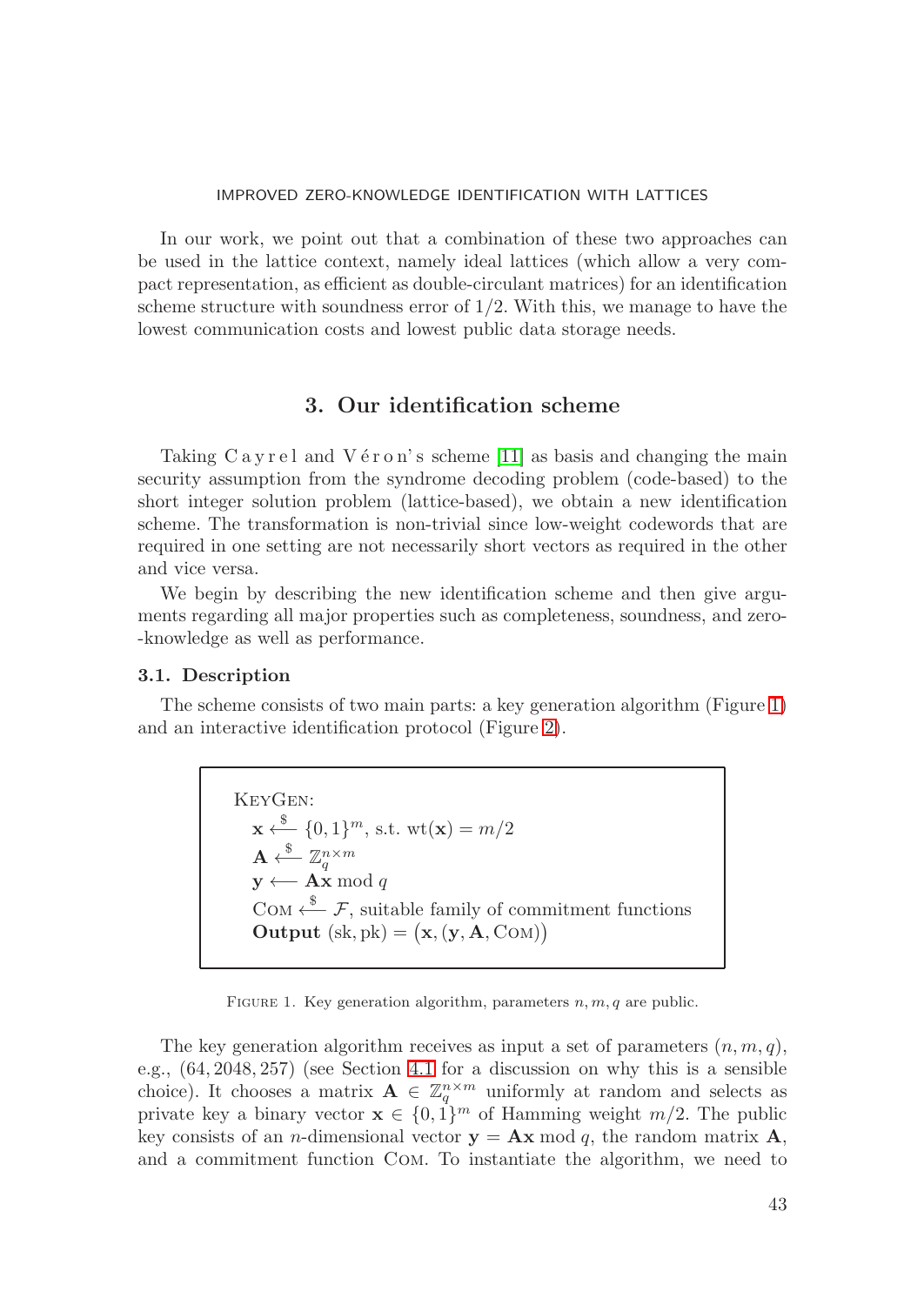In our work, we point out that a combination of these two approaches can be used in the lattice context, namely ideal lattices (which allow a very compact representation, as efficient as double-circulant matrices) for an identification scheme structure with soundness error of  $1/2$ . With this, we manage to have the lowest communication costs and lowest public data storage needs.

## **3. Our identification scheme**

Taking  $C$  a y r e l and  $V$  é r o n's scheme [11] as basis and changing the main security assumption from the syndrome decoding problem (code-based) to the short integer solution problem (lattice-based), we obtain a new identification scheme. The transformation is non-trivial since low-weight codewords that are required in one setting are not necessarily short vectors as required in the other and vice versa.

We begin by describing the new identification scheme and then give arguments regarding all major properties such as completeness, soundness, and zero- -knowledge as well as performance.

### **3.1. Description**

The scheme consists of two main parts: a key generation algorithm (Figure 1) and an interactive identification protocol (Figure 2).

> KeyGen:  $\mathbf{x} \leftarrow \{0, 1\}^m$ , s.t. wt $(\mathbf{x}) = m/2$  $\mathbf{A} \stackrel{\$}{\longleftarrow} \mathbb{Z}_q^{n \times m}$ **y** ←− **Ax** mod q COM  $\stackrel{\$}{\longleftarrow}$  F, suitable family of commitment functions  $\textbf{Output } (\text{sk}, \text{pk}) = (\mathbf{x}, (\mathbf{y}, \mathbf{A}, \text{COM}))$

The key generation algorithm receives as input a set of parameters  $(n, m, q)$ , e.g., (64, 2048, 257) (see Section 4.1 for a discussion on why this is a sensible choice). It chooses a matrix  $\mathbf{A} \in \mathbb{Z}_q^{n \times m}$  uniformly at random and selects as private key a binary vector  $\mathbf{x} \in \{0, 1\}^m$  of Hamming weight  $m/2$ . The public key consists of an *n*-dimensional vector  $y = Ax \mod q$ , the random matrix A, and a commitment function Com. To instantiate the algorithm, we need to

FIGURE 1. Key generation algorithm, parameters  $n, m, q$  are public.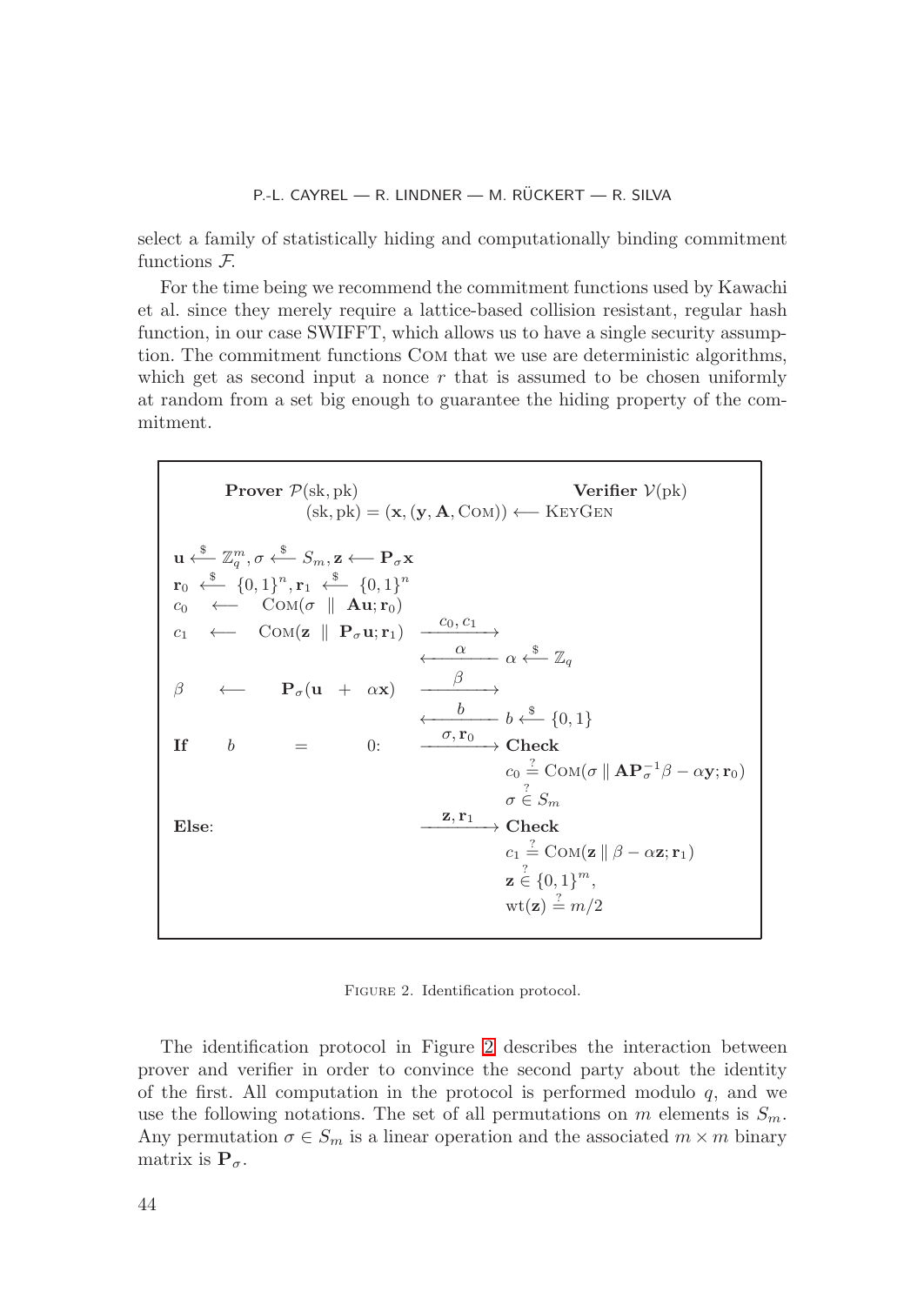select a family of statistically hiding and computationally binding commitment functions F.

For the time being we recommend the commitment functions used by Kawachi et al. since they merely require a lattice-based collision resistant, regular hash function, in our case SWIFFT, which allows us to have a single security assumption. The commitment functions Com that we use are deterministic algorithms, which get as second input a nonce  $r$  that is assumed to be chosen uniformly at random from a set big enough to guarantee the hiding property of the commitment.

| <b>Prover</b> $P$ (sk, pk)<br>Verifier $V(\text{pk})$<br>$(\text{sk}, \text{pk}) = (\mathbf{x}, (\mathbf{y}, \mathbf{A}, \text{COM})) \longleftarrow \text{KEYGEN}$                                                                                                                                                                                                                                                                                                                                                                                                                  |                                                                                                                                                                                                                                                                                                                                                                                            |  |  |  |  |
|--------------------------------------------------------------------------------------------------------------------------------------------------------------------------------------------------------------------------------------------------------------------------------------------------------------------------------------------------------------------------------------------------------------------------------------------------------------------------------------------------------------------------------------------------------------------------------------|--------------------------------------------------------------------------------------------------------------------------------------------------------------------------------------------------------------------------------------------------------------------------------------------------------------------------------------------------------------------------------------------|--|--|--|--|
| $\mathbf{u} \stackrel{\$}{\longleftarrow} \mathbb{Z}_q^m, \sigma \stackrel{\$}{\longleftarrow} S_m, \mathbf{z} \longleftarrow \mathbf{P}_{\sigma} \mathbf{x}$<br>$\mathbf{r}_0 \stackrel{\$}{\longleftarrow} \{0,1\}^n, \mathbf{r}_1 \stackrel{\$}{\longleftarrow} \{0,1\}^n$<br>$c_0 \leftarrow \text{Com}(\sigma \parallel \mathbf{Au}; \mathbf{r}_0)$<br>$c_1 \leftarrow \text{COM}(\mathbf{z} \parallel \mathbf{P}_{\sigma} \mathbf{u}; \mathbf{r}_1) \xrightarrow{c_0, c_1}$<br>$\beta \longleftrightarrow \mathbf{P}_{\sigma}(\mathbf{u} + \alpha \mathbf{x}) \longrightarrow$ | $\leftarrow \frac{\alpha}{\alpha \leftarrow \alpha} \mathcal{Z}_a$<br>$\leftarrow$ $b \leftarrow$ {0, 1}                                                                                                                                                                                                                                                                                   |  |  |  |  |
| If $b = 0: \frac{\sigma, \mathbf{r}_0}{\sigma}$ Check                                                                                                                                                                                                                                                                                                                                                                                                                                                                                                                                |                                                                                                                                                                                                                                                                                                                                                                                            |  |  |  |  |
| Else:                                                                                                                                                                                                                                                                                                                                                                                                                                                                                                                                                                                | $c_0 \stackrel{?}{=} \text{COM}(\sigma \parallel \mathbf{AP}_{\sigma}^{-1} \beta - \alpha \mathbf{y}; \mathbf{r}_0)$<br>$\sigma \stackrel{?}{\in} S_m$<br>$\xrightarrow{\mathbf{z},\,\mathbf{r}_1}$ Check<br>$c_1 \stackrel{?}{=} \text{Com}(\mathbf{z} \parallel \beta - \alpha \mathbf{z}; \mathbf{r}_1)$<br>$\mathbf{z} \in \{0,1\}^m$ ,<br>$\text{wt}(\mathbf{z}) \stackrel{?}{=} m/2$ |  |  |  |  |

Figure 2. Identification protocol.

The identification protocol in Figure 2 describes the interaction between prover and verifier in order to convince the second party about the identity of the first. All computation in the protocol is performed modulo  $q$ , and we use the following notations. The set of all permutations on m elements is  $S_m$ . Any permutation  $\sigma \in S_m$  is a linear operation and the associated  $m \times m$  binary matrix is  $P_{\sigma}$ .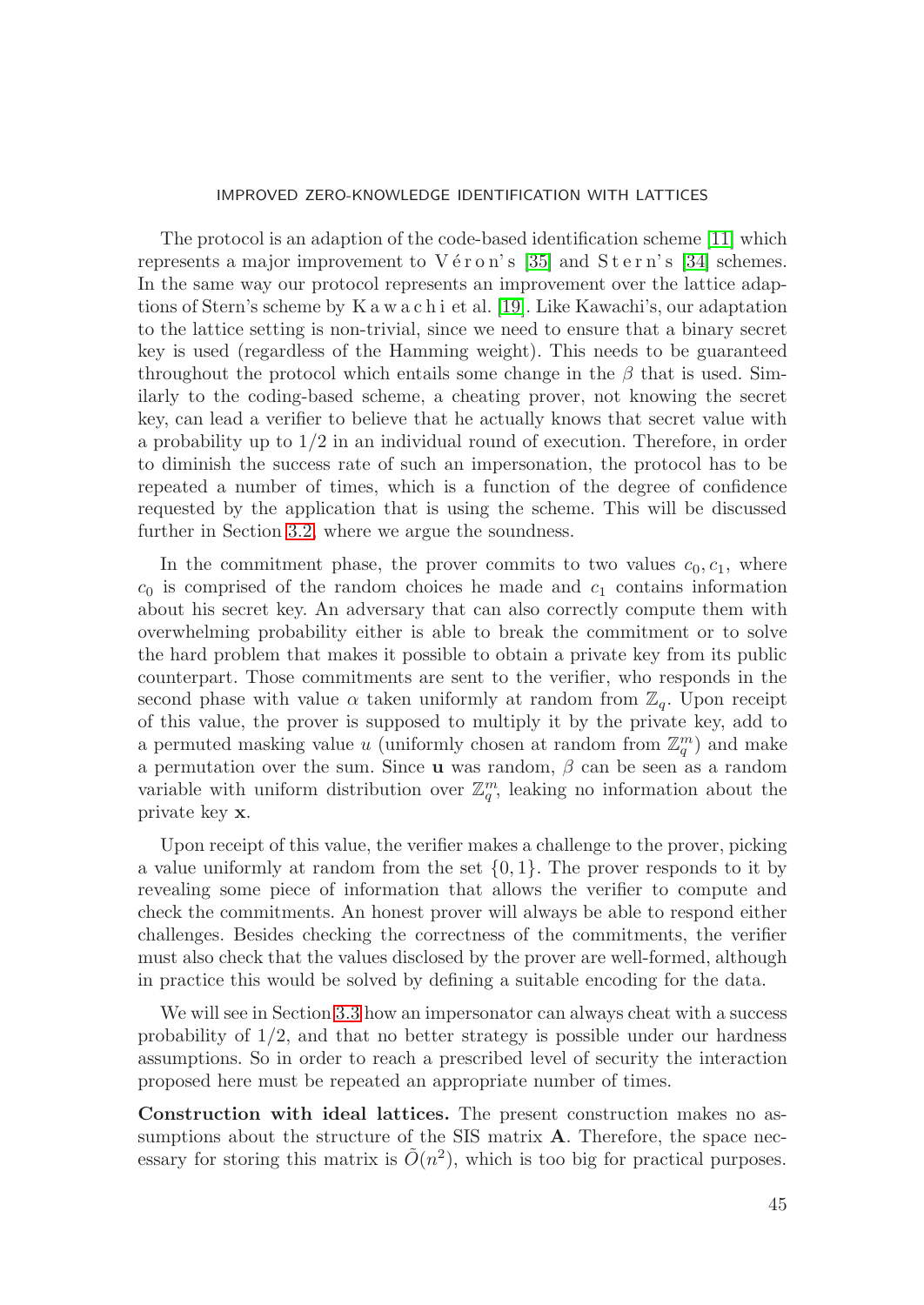The protocol is an adaption of the code-based identification scheme [11] which represents a major improvement to  $V \notin r \circ n$ 's [35] and  $S \notin r \circ n'$ 's [34] schemes. In the same way our protocol represents an improvement over the lattice adaptions of Stern's scheme by K a w a c h i et al. [19]. Like Kawachi's, our adaptation to the lattice setting is non-trivial, since we need to ensure that a binary secret key is used (regardless of the Hamming weight). This needs to be guaranteed throughout the protocol which entails some change in the  $\beta$  that is used. Similarly to the coding-based scheme, a cheating prover, not knowing the secret key, can lead a verifier to believe that he actually knows that secret value with a probability up to 1/2 in an individual round of execution. Therefore, in order to diminish the success rate of such an impersonation, the protocol has to be repeated a number of times, which is a function of the degree of confidence requested by the application that is using the scheme. This will be discussed further in Section 3.2, where we argue the soundness.

In the commitment phase, the prover commits to two values  $c_0, c_1$ , where  $c_0$  is comprised of the random choices he made and  $c_1$  contains information about his secret key. An adversary that can also correctly compute them with overwhelming probability either is able to break the commitment or to solve the hard problem that makes it possible to obtain a private key from its public counterpart. Those commitments are sent to the verifier, who responds in the second phase with value  $\alpha$  taken uniformly at random from  $\mathbb{Z}_q$ . Upon receipt of this value, the prover is supposed to multiply it by the private key, add to a permuted masking value u (uniformly chosen at random from  $\mathbb{Z}_q^m$ ) and make a permutation over the sum. Since **u** was random,  $\beta$  can be seen as a random variable with uniform distribution over  $\mathbb{Z}_q^m$ , leaking no information about the private key **x**.

Upon receipt of this value, the verifier makes a challenge to the prover, picking a value uniformly at random from the set  $\{0, 1\}$ . The prover responds to it by revealing some piece of information that allows the verifier to compute and check the commitments. An honest prover will always be able to respond either challenges. Besides checking the correctness of the commitments, the verifier must also check that the values disclosed by the prover are well-formed, although in practice this would be solved by defining a suitable encoding for the data.

We will see in Section 3.3 how an impersonator can always cheat with a success probability of  $1/2$ , and that no better strategy is possible under our hardness assumptions. So in order to reach a prescribed level of security the interaction proposed here must be repeated an appropriate number of times.

**Construction with ideal lattices.** The present construction makes no assumptions about the structure of the SIS matrix **A**. Therefore, the space necessary for storing this matrix is  $\tilde{O}(n^2)$ , which is too big for practical purposes.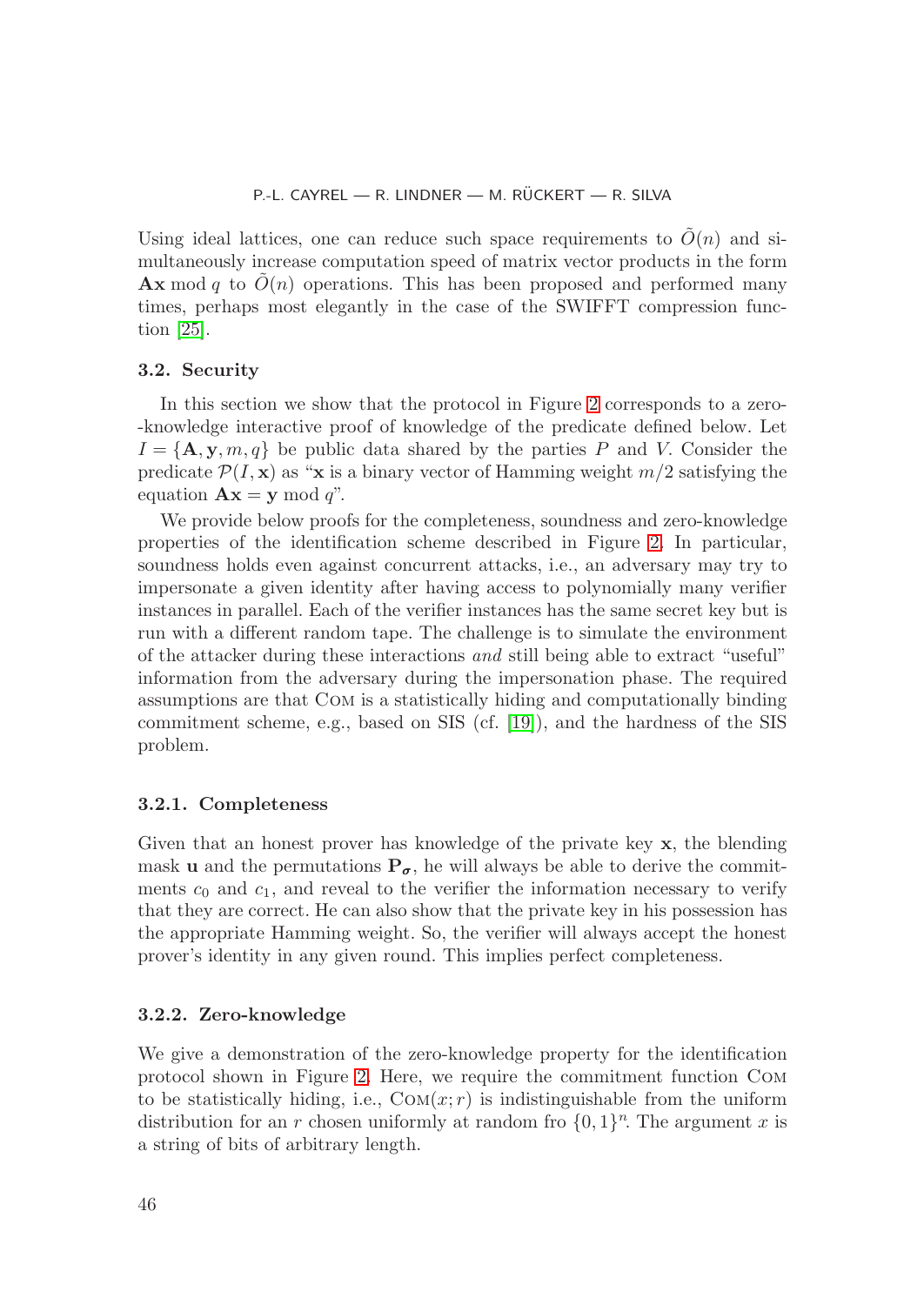Using ideal lattices, one can reduce such space requirements to  $O(n)$  and simultaneously increase computation speed of matrix vector products in the form **Ax** mod q to  $O(n)$  operations. This has been proposed and performed many times, perhaps most elegantly in the case of the SWIFFT compression function [25].

#### **3.2. Security**

In this section we show that the protocol in Figure 2 corresponds to a zero- -knowledge interactive proof of knowledge of the predicate defined below. Let  $I = \{A, y, m, q\}$  be public data shared by the parties P and V. Consider the predicate  $\mathcal{P}(I, \mathbf{x})$  as "**x** is a binary vector of Hamming weight  $m/2$  satisfying the equation  $\mathbf{A}\mathbf{x} = \mathbf{y} \bmod q$ ".

We provide below proofs for the completeness, soundness and zero-knowledge properties of the identification scheme described in Figure 2. In particular, soundness holds even against concurrent attacks, i.e., an adversary may try to impersonate a given identity after having access to polynomially many verifier instances in parallel. Each of the verifier instances has the same secret key but is run with a different random tape. The challenge is to simulate the environment of the attacker during these interactions *and* still being able to extract "useful" information from the adversary during the impersonation phase. The required assumptions are that Com is a statistically hiding and computationally binding commitment scheme, e.g., based on SIS (cf. [19]), and the hardness of the SIS problem.

### **3.2.1. Completeness**

Given that an honest prover has knowledge of the private key **x**, the blending mask **u** and the permutations  $P_{\sigma}$ , he will always be able to derive the commitments  $c_0$  and  $c_1$ , and reveal to the verifier the information necessary to verify that they are correct. He can also show that the private key in his possession has the appropriate Hamming weight. So, the verifier will always accept the honest prover's identity in any given round. This implies perfect completeness.

### **3.2.2. Zero-knowledge**

We give a demonstration of the zero-knowledge property for the identification protocol shown in Figure 2. Here, we require the commitment function Com to be statistically hiding, i.e.,  $COM(x; r)$  is indistinguishable from the uniform distribution for an r chosen uniformly at random fro  $\{0, 1\}^n$ . The argument x is a string of bits of arbitrary length.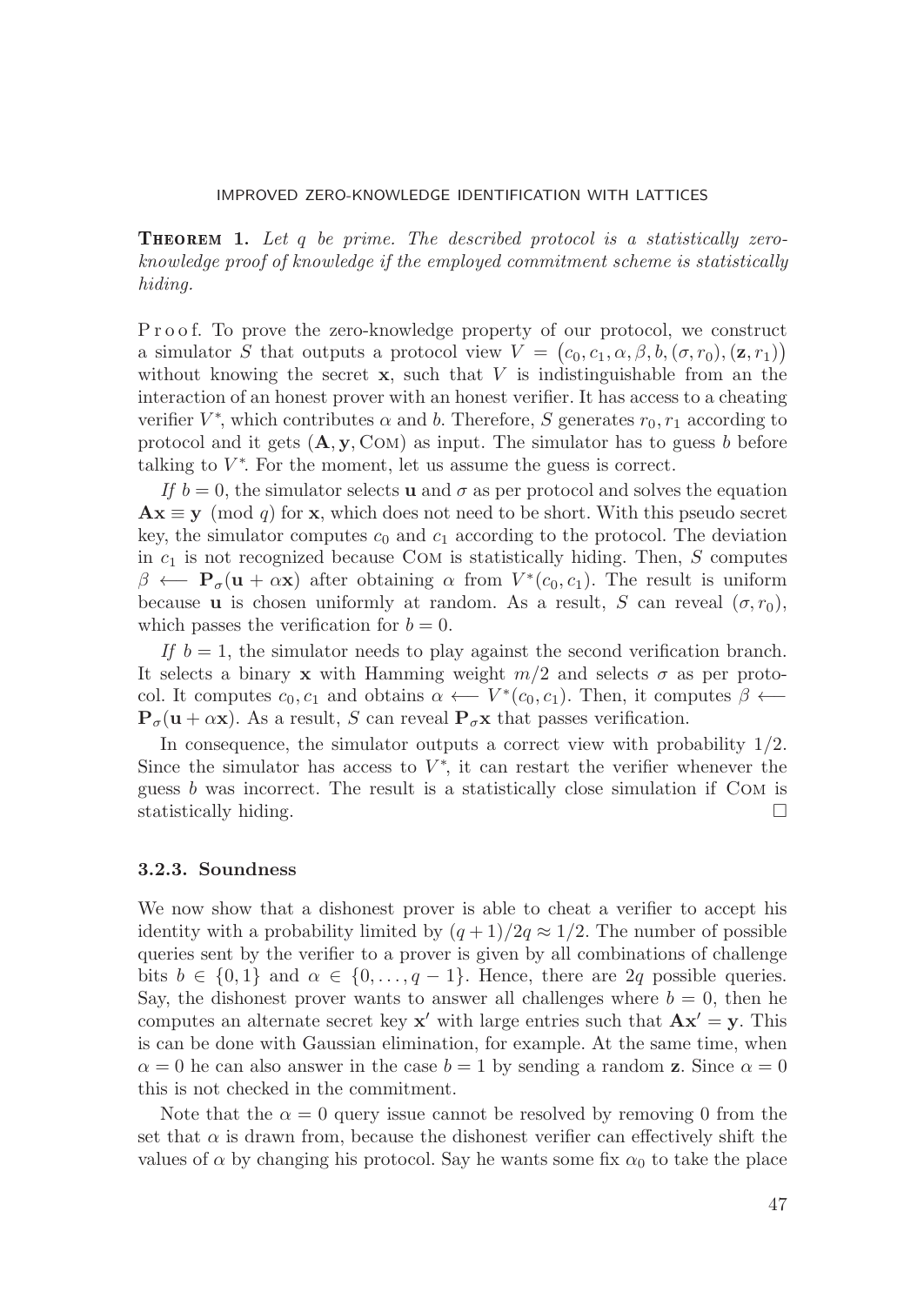**THEOREM 1.** Let q be prime. The described protocol is a statistically zero*knowledge proof of knowledge if the employed commitment scheme is statistically hiding.*

P r o o f. To prove the zero-knowledge property of our protocol, we construct a simulator S that outputs a protocol view  $V = (c_0, c_1, \alpha, \beta, b, (\sigma, r_0), (\mathbf{z}, r_1))$ without knowing the secret  $x$ , such that  $V$  is indistinguishable from an the interaction of an honest prover with an honest verifier. It has access to a cheating verifier  $V^*$ , which contributes  $\alpha$  and b. Therefore, S generates  $r_0, r_1$  according to protocol and it gets  $(A, y, COM)$  as input. The simulator has to guess b before talking to  $V^*$ . For the moment, let us assume the guess is correct.

*If*  $b = 0$ , the simulator selects **u** and  $\sigma$  as per protocol and solves the equation  $\mathbf{A}\mathbf{x} \equiv \mathbf{y} \pmod{q}$  for **x**, which does not need to be short. With this pseudo secret key, the simulator computes  $c_0$  and  $c_1$  according to the protocol. The deviation in  $c_1$  is not recognized because COM is statistically hiding. Then, S computes  $\beta \leftarrow \mathbf{P}_{\sigma}(\mathbf{u} + \alpha \mathbf{x})$  after obtaining  $\alpha$  from  $V^*(c_0, c_1)$ . The result is uniform because **u** is chosen uniformly at random. As a result, S can reveal  $(\sigma, r_0)$ , which passes the verification for  $b = 0$ .

*If*  $b = 1$ , the simulator needs to play against the second verification branch. It selects a binary **x** with Hamming weight  $m/2$  and selects  $\sigma$  as per protocol. It computes  $c_0, c_1$  and obtains  $\alpha \leftarrow V^*(c_0, c_1)$ . Then, it computes  $\beta \leftarrow$  ${\bf P}_{\sigma}({\bf u} + \alpha {\bf x})$ . As a result, S can reveal  ${\bf P}_{\sigma} {\bf x}$  that passes verification.

In consequence, the simulator outputs a correct view with probability  $1/2$ . Since the simulator has access to  $V^*$ , it can restart the verifier whenever the guess  $b$  was incorrect. The result is a statistically close simulation if COM is statistically hiding.  $\Box$ 

#### **3.2.3. Soundness**

We now show that a dishonest prover is able to cheat a verifier to accept his identity with a probability limited by  $(q+1)/2q \approx 1/2$ . The number of possible queries sent by the verifier to a prover is given by all combinations of challenge bits  $b \in \{0,1\}$  and  $\alpha \in \{0,\ldots,q-1\}$ . Hence, there are 2q possible queries. Say, the dishonest prover wants to answer all challenges where  $b = 0$ , then he computes an alternate secret key  $\mathbf{x}'$  with large entries such that  $\mathbf{A}\mathbf{x}' = \mathbf{y}$ . This is can be done with Gaussian elimination, for example. At the same time, when  $\alpha = 0$  he can also answer in the case  $b = 1$  by sending a random **z**. Since  $\alpha = 0$ this is not checked in the commitment.

Note that the  $\alpha = 0$  query issue cannot be resolved by removing 0 from the set that  $\alpha$  is drawn from, because the dishonest verifier can effectively shift the values of  $\alpha$  by changing his protocol. Say he wants some fix  $\alpha_0$  to take the place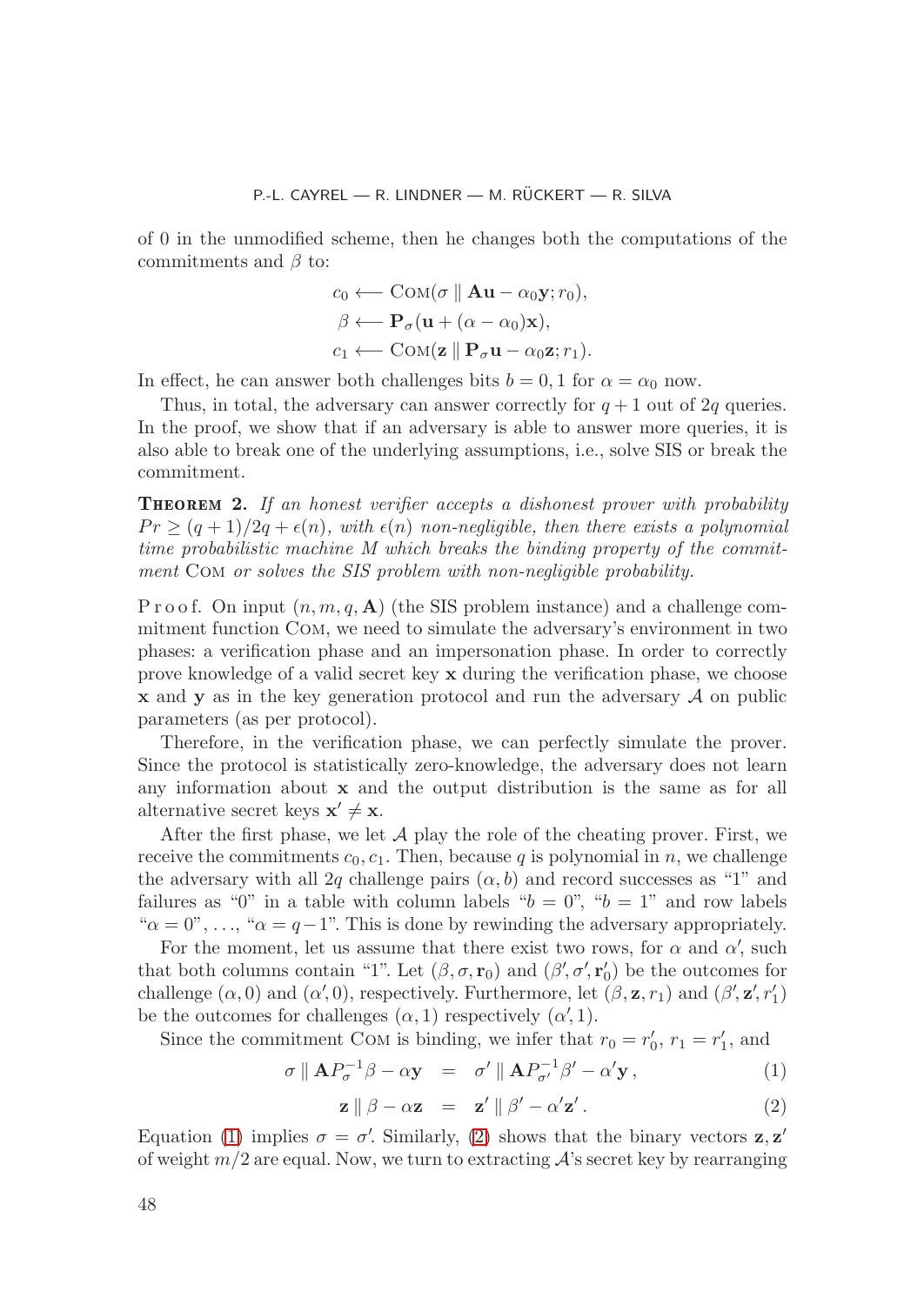of 0 in the unmodified scheme, then he changes both the computations of the commitments and  $\beta$  to:

$$
c_0 \longleftarrow \text{COM}(\sigma \parallel \mathbf{A}\mathbf{u} - \alpha_0 \mathbf{y}; r_0),
$$

$$
\beta \longleftarrow \mathbf{P}_{\sigma}(\mathbf{u} + (\alpha - \alpha_0)\mathbf{x}),
$$

$$
c_1 \longleftarrow \text{COM}(\mathbf{z} \parallel \mathbf{P}_{\sigma}\mathbf{u} - \alpha_0 \mathbf{z}; r_1).
$$

In effect, he can answer both challenges bits  $b = 0, 1$  for  $\alpha = \alpha_0$  now.

Thus, in total, the adversary can answer correctly for  $q + 1$  out of 2q queries. In the proof, we show that if an adversary is able to answer more queries, it is also able to break one of the underlying assumptions, i.e., solve SIS or break the commitment.

**THEOREM 2.** If an honest verifier accepts a dishonest prover with probability  $Pr \geq (q+1)/2q + \epsilon(n)$ , with  $\epsilon(n)$  non-negligible, then there exists a polynomial *time probabilistic machine M which breaks the binding property of the commitment* Com *or solves the SIS problem with non-negligible probability.*

P r o o f. On input  $(n, m, q, \mathbf{A})$  (the SIS problem instance) and a challenge commitment function Com, we need to simulate the adversary's environment in two phases: a verification phase and an impersonation phase. In order to correctly prove knowledge of a valid secret key **x** during the verification phase, we choose **x** and **y** as in the key generation protocol and run the adversary A on public parameters (as per protocol).

Therefore, in the verification phase, we can perfectly simulate the prover. Since the protocol is statistically zero-knowledge, the adversary does not learn any information about **x** and the output distribution is the same as for all alternative secret keys  $x' \neq x$ .

After the first phase, we let  $A$  play the role of the cheating prover. First, we receive the commitments  $c_0, c_1$ . Then, because q is polynomial in n, we challenge the adversary with all 2q challenge pairs  $(\alpha, b)$  and record successes as "1" and failures as "0" in a table with column labels " $b = 0$ ", " $b = 1$ " and row labels " $\alpha = 0$ ", ..., " $\alpha = q-1$ ". This is done by rewinding the adversary appropriately.

For the moment, let us assume that there exist two rows, for  $\alpha$  and  $\alpha'$ , such that both columns contain "1". Let  $(\beta, \sigma, \mathbf{r}_0)$  and  $(\beta', \sigma', \mathbf{r}'_0)$  be the outcomes for challenge  $(\alpha, 0)$  and  $(\alpha', 0)$ , respectively. Furthermore, let  $(\beta, \mathbf{z}, r_1)$  and  $(\beta', \mathbf{z}', r_1')$ be the outcomes for challenges  $(\alpha, 1)$  respectively  $(\alpha, 1)$ .

Since the commitment COM is binding, we infer that  $r_0 = r'_0$ ,  $r_1 = r'_1$ , and

$$
\sigma \parallel \mathbf{A} P_{\sigma}^{-1} \beta - \alpha \mathbf{y} = \sigma' \parallel \mathbf{A} P_{\sigma'}^{-1} \beta' - \alpha' \mathbf{y}, \qquad (1)
$$

$$
\mathbf{z} \parallel \beta - \alpha \mathbf{z} = \mathbf{z}' \parallel \beta' - \alpha' \mathbf{z}'. \tag{2}
$$

Equation (1) implies  $\sigma = \sigma'$ . Similarly, (2) shows that the binary vectors **z**, **z'** of weight  $m/2$  are equal. Now, we turn to extracting  $\mathcal{A}$ 's secret key by rearranging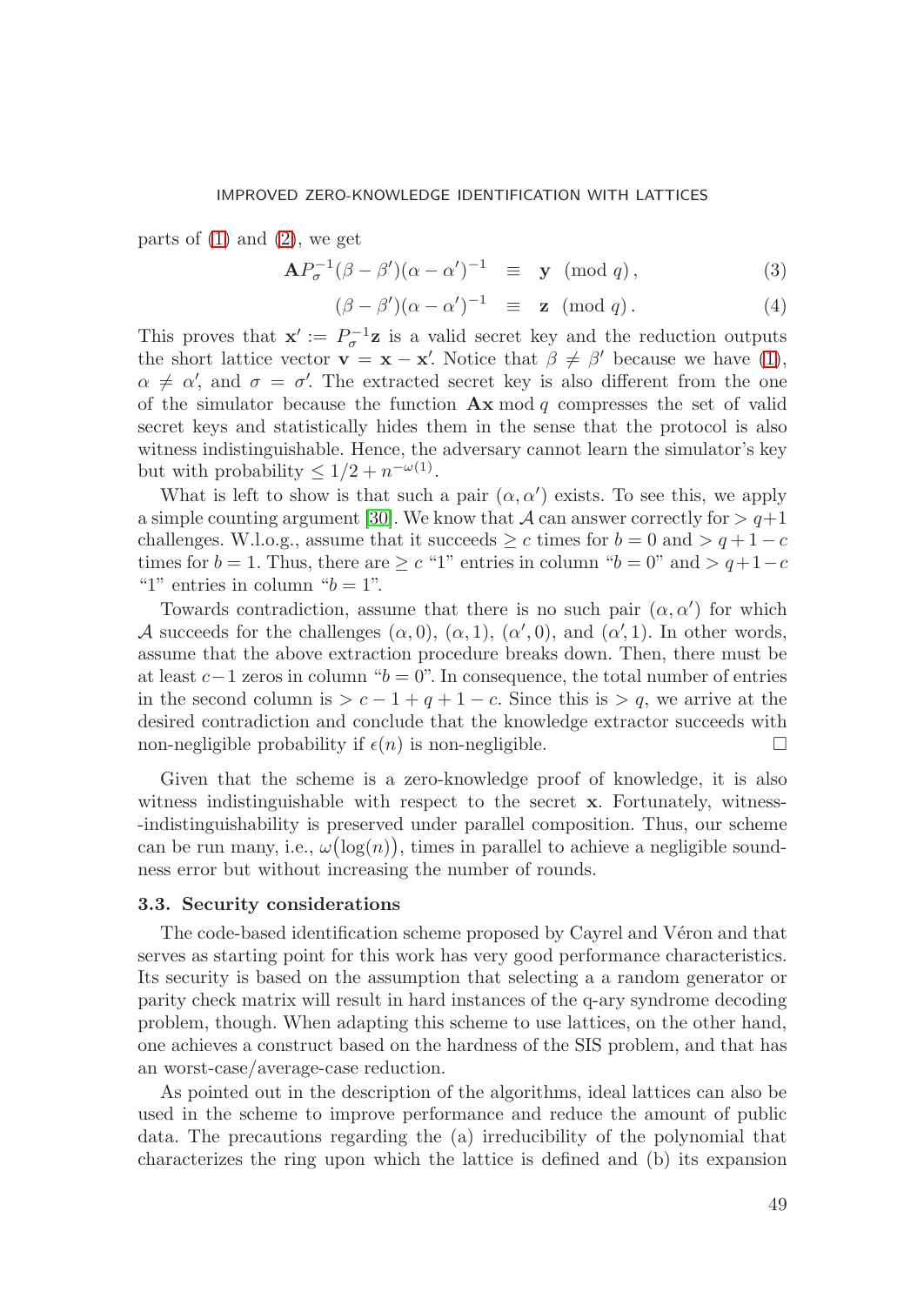parts of  $(1)$  and  $(2)$ , we get

$$
\mathbf{A}P_{\sigma}^{-1}(\beta - \beta')(\alpha - \alpha')^{-1} \equiv \mathbf{y} \pmod{q},\tag{3}
$$

$$
(\beta - \beta')(\alpha - \alpha')^{-1} \equiv \mathbf{z} \pmod{q}.
$$
 (4)

This proves that  $\mathbf{x}' := P_{\sigma}^{-1} \mathbf{z}$  is a valid secret key and the reduction outputs the short lattice vector  $\mathbf{v} = \mathbf{x} - \mathbf{x}'$ . Notice that  $\beta \neq \beta'$  because we have (1),  $\alpha \neq \alpha'$ , and  $\sigma = \sigma'$ . The extracted secret key is also different from the one of the simulator because the function  $\mathbf{A} \mathbf{x}$  mod q compresses the set of valid secret keys and statistically hides them in the sense that the protocol is also witness indistinguishable. Hence, the adversary cannot learn the simulator's key but with probability  $\leq 1/2 + n^{-\omega(1)}$ .

What is left to show is that such a pair  $(\alpha, \alpha')$  exists. To see this, we apply a simple counting argument [30]. We know that A can answer correctly for  $> q+1$ challenges. W.l.o.g., assume that it succeeds  $\geq c$  times for  $b = 0$  and  $> q + 1 - c$ times for  $b = 1$ . Thus, there are  $\geq c$  "1" entries in column " $b = 0$ " and  $> q+1-c$ "1" entries in column " $b = 1$ ".

Towards contradiction, assume that there is no such pair  $(\alpha, \alpha')$  for which A succeeds for the challenges  $(\alpha, 0)$ ,  $(\alpha, 1)$ ,  $(\alpha', 0)$ , and  $(\alpha', 1)$ . In other words, assume that the above extraction procedure breaks down. Then, there must be at least  $c-1$  zeros in column " $b = 0$ ". In consequence, the total number of entries in the second column is  $>c-1+q+1-c$ . Since this is  $> q$ , we arrive at the desired contradiction and conclude that the knowledge extractor succeeds with non-negligible probability if  $\epsilon(n)$  is non-negligible.  $\Box$ 

Given that the scheme is a zero-knowledge proof of knowledge, it is also witness indistinguishable with respect to the secret **x**. Fortunately, witness- -indistinguishability is preserved under parallel composition. Thus, our scheme can be run many, i.e.,  $\omega(\log(n))$ , times in parallel to achieve a negligible soundness error but without increasing the number of rounds.

#### **3.3. Security considerations**

The code-based identification scheme proposed by Cayrel and Véron and that serves as starting point for this work has very good performance characteristics. Its security is based on the assumption that selecting a a random generator or parity check matrix will result in hard instances of the q-ary syndrome decoding problem, though. When adapting this scheme to use lattices, on the other hand, one achieves a construct based on the hardness of the SIS problem, and that has an worst-case/average-case reduction.

As pointed out in the description of the algorithms, ideal lattices can also be used in the scheme to improve performance and reduce the amount of public data. The precautions regarding the (a) irreducibility of the polynomial that characterizes the ring upon which the lattice is defined and (b) its expansion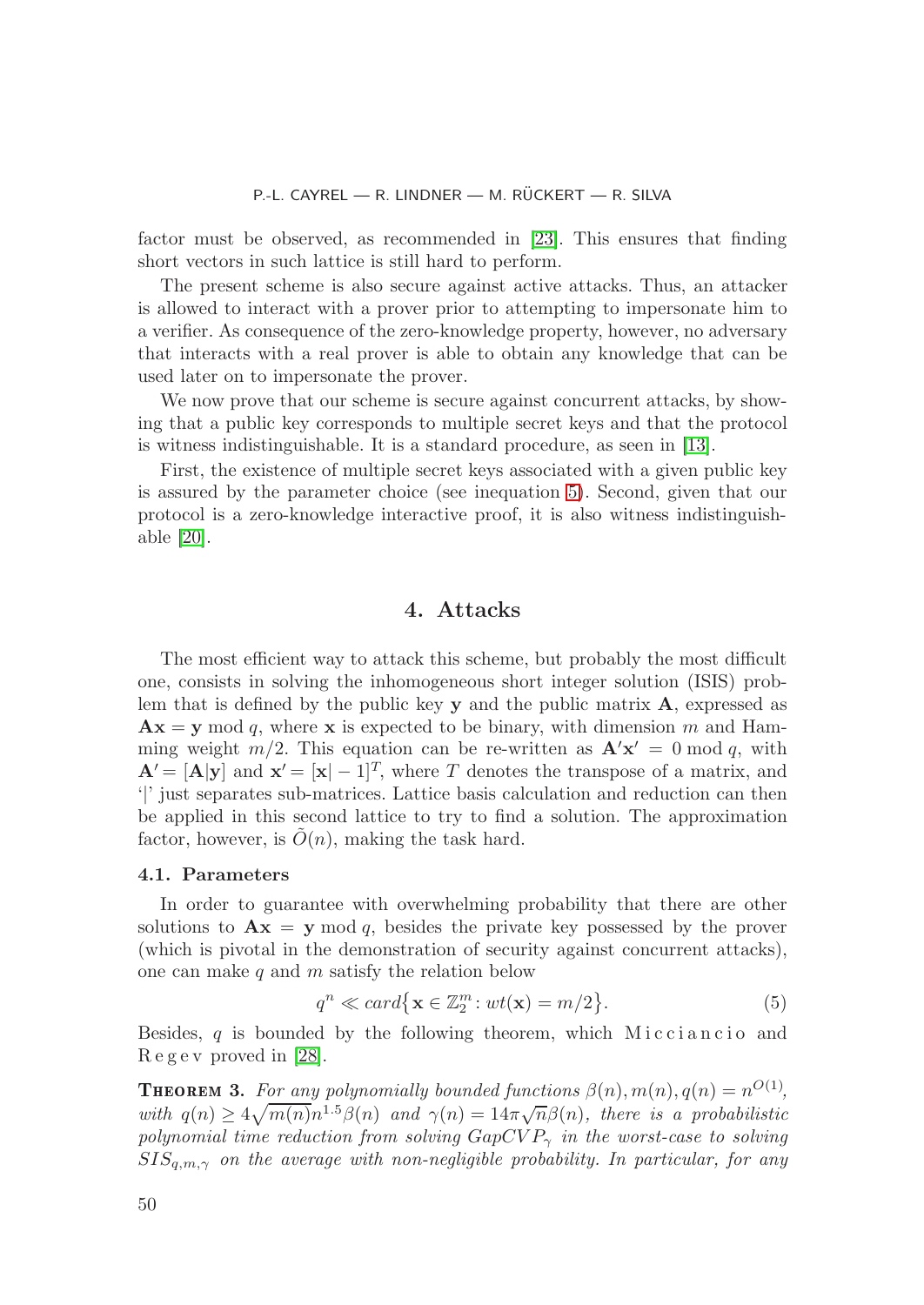factor must be observed, as recommended in [23]. This ensures that finding short vectors in such lattice is still hard to perform.

The present scheme is also secure against active attacks. Thus, an attacker is allowed to interact with a prover prior to attempting to impersonate him to a verifier. As consequence of the zero-knowledge property, however, no adversary that interacts with a real prover is able to obtain any knowledge that can be used later on to impersonate the prover.

We now prove that our scheme is secure against concurrent attacks, by showing that a public key corresponds to multiple secret keys and that the protocol is witness indistinguishable. It is a standard procedure, as seen in [13].

First, the existence of multiple secret keys associated with a given public key is assured by the parameter choice (see inequation 5). Second, given that our protocol is a zero-knowledge interactive proof, it is also witness indistinguishable [20].

## **4. Attacks**

The most efficient way to attack this scheme, but probably the most difficult one, consists in solving the inhomogeneous short integer solution (ISIS) problem that is defined by the public key **y** and the public matrix **A**, expressed as  $\mathbf{A}\mathbf{x} = \mathbf{y} \mod q$ , where **x** is expected to be binary, with dimension m and Hamming weight  $m/2$ . This equation can be re-written as  $\mathbf{A}^{\prime}\mathbf{x}^{\prime} = 0 \mod q$ , with  $\mathbf{A}' = [\mathbf{A}|\mathbf{y}]$  and  $\mathbf{x}' = [\mathbf{x}] - \mathbf{1}]^T$ , where T denotes the transpose of a matrix, and '|' just separates sub-matrices. Lattice basis calculation and reduction can then be applied in this second lattice to try to find a solution. The approximation factor, however, is  $O(n)$ , making the task hard.

### **4.1. Parameters**

In order to guarantee with overwhelming probability that there are other solutions to  $\mathbf{A}\mathbf{x} = \mathbf{y} \mod q$ , besides the private key possessed by the prover (which is pivotal in the demonstration of security against concurrent attacks), one can make  $q$  and  $m$  satisfy the relation below

$$
q^n \ll card\{\mathbf{x} \in \mathbb{Z}_2^m : wt(\mathbf{x}) = m/2\}.
$$
 (5)

Besides,  $q$  is bounded by the following theorem, which M i c c i a n c i o and R e g e v proved in [28].

**THEOREM 3.** For any polynomially bounded functions  $\beta(n), m(n), q(n) = n^{O(1)}$ , **THEOREM 3.** 101 any polynomially counted functions  $p(n)$ ,  $m(n)$ ,  $q(n) = n$ ,<br>with  $q(n) \ge 4\sqrt{m(n)}n^{1.5}\beta(n)$  and  $\gamma(n) = 14\pi\sqrt{n}\beta(n)$ , there is a probabilistic *polynomial time reduction from solving*  $GapCVP<sub>γ</sub>$  *in the worst-case to solving*  $SIS_{q,m,\gamma}$  *on the average with non-negligible probability. In particular, for any*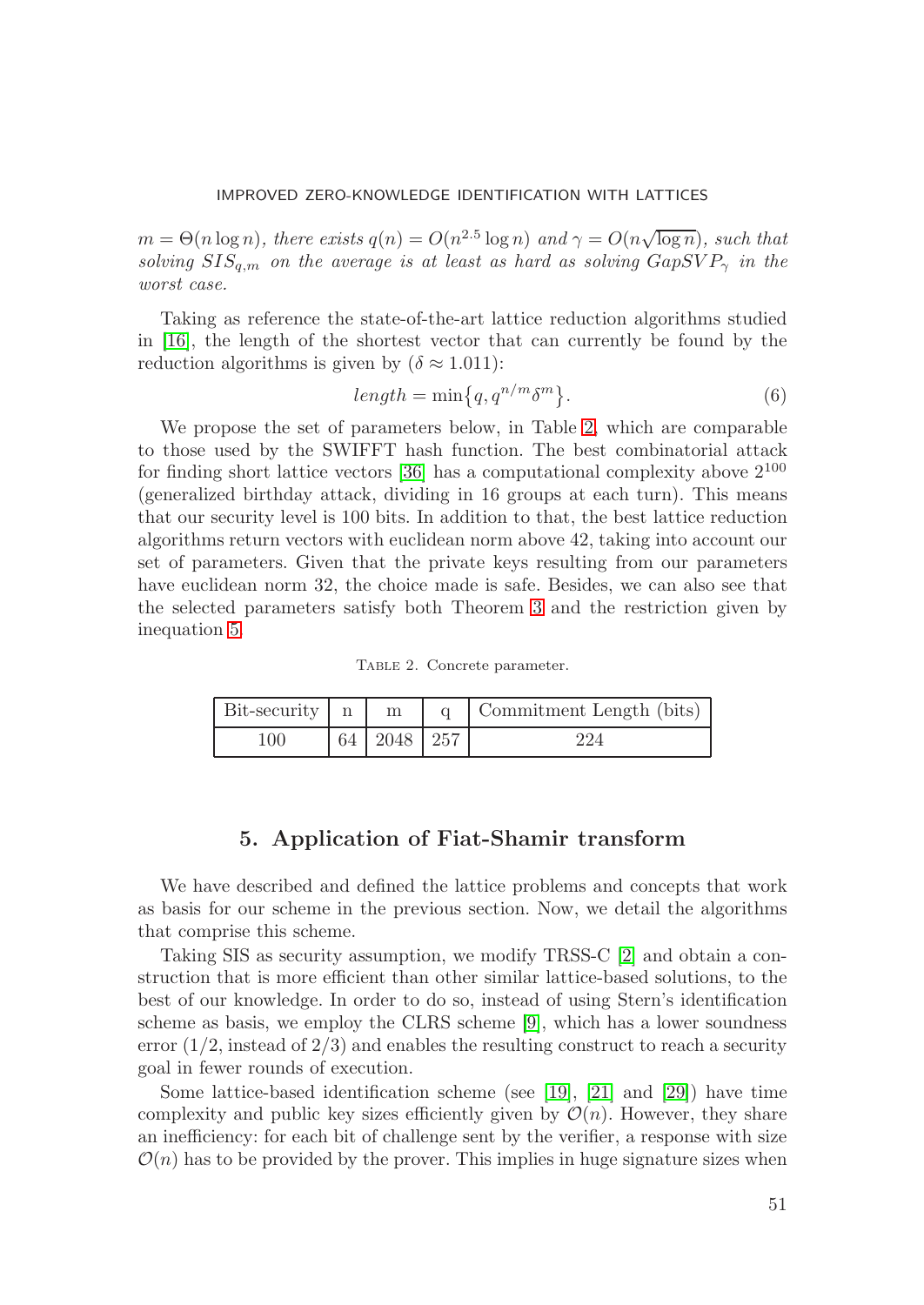$m = \Theta(n \log n)$ *, there exists*  $q(n) = O(n^{2.5} \log n)$  and  $\gamma = O(n \sqrt{\log n})$ *, such that solving*  $SIS_{q,m}$  *on the average is at least as hard as solving*  $GapSVP_{\gamma}$  *in the worst case.*

Taking as reference the state-of-the-art lattice reduction algorithms studied in [16], the length of the shortest vector that can currently be found by the reduction algorithms is given by  $(\delta \approx 1.011)$ :

$$
length = \min\{q, q^{n/m} \delta^m\}.
$$
\n(6)

We propose the set of parameters below, in Table 2, which are comparable to those used by the SWIFFT hash function. The best combinatorial attack for finding short lattice vectors  $[36]$  has a computational complexity above  $2^{100}$ (generalized birthday attack, dividing in 16 groups at each turn). This means that our security level is 100 bits. In addition to that, the best lattice reduction algorithms return vectors with euclidean norm above 42, taking into account our set of parameters. Given that the private keys resulting from our parameters have euclidean norm 32, the choice made is safe. Besides, we can also see that the selected parameters satisfy both Theorem 3 and the restriction given by inequation 5.

Table 2. Concrete parameter.

| Bit-security n | m           | q | Commitment Length (bits) |
|----------------|-------------|---|--------------------------|
| 100            | 64 2048 257 |   | 224                      |

## **5. Application of Fiat-Shamir transform**

We have described and defined the lattice problems and concepts that work as basis for our scheme in the previous section. Now, we detail the algorithms that comprise this scheme.

Taking SIS as security assumption, we modify TRSS-C [2] and obtain a construction that is more efficient than other similar lattice-based solutions, to the best of our knowledge. In order to do so, instead of using Stern's identification scheme as basis, we employ the CLRS scheme [9], which has a lower soundness error  $(1/2, \text{instead of } 2/3)$  and enables the resulting construct to reach a security goal in fewer rounds of execution.

Some lattice-based identification scheme (see [19], [21] and [29]) have time complexity and public key sizes efficiently given by  $\mathcal{O}(n)$ . However, they share an inefficiency: for each bit of challenge sent by the verifier, a response with size  $\mathcal{O}(n)$  has to be provided by the prover. This implies in huge signature sizes when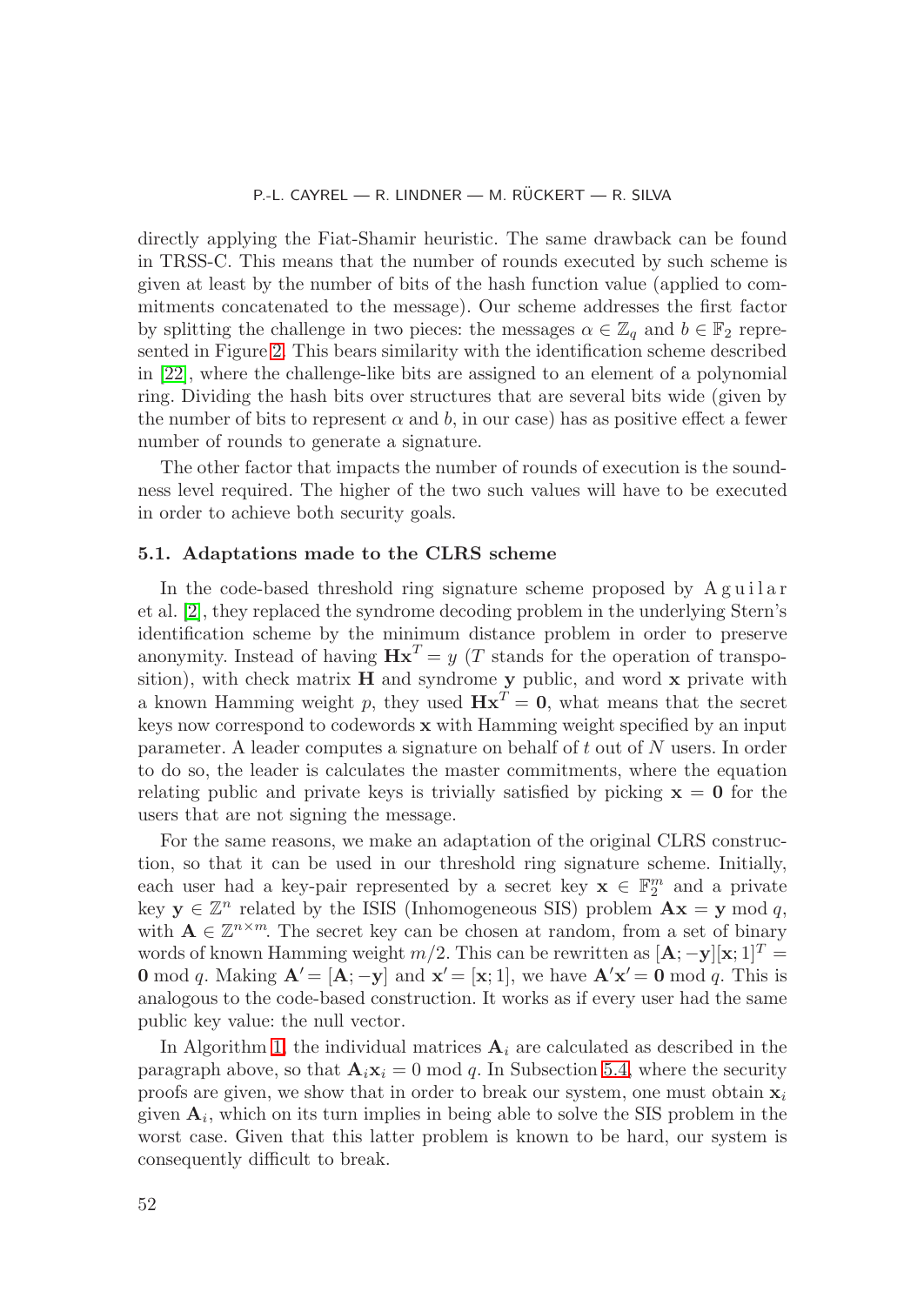directly applying the Fiat-Shamir heuristic. The same drawback can be found in TRSS-C. This means that the number of rounds executed by such scheme is given at least by the number of bits of the hash function value (applied to commitments concatenated to the message). Our scheme addresses the first factor by splitting the challenge in two pieces: the messages  $\alpha \in \mathbb{Z}_q$  and  $b \in \mathbb{F}_2$  represented in Figure 2. This bears similarity with the identification scheme described in [22], where the challenge-like bits are assigned to an element of a polynomial ring. Dividing the hash bits over structures that are several bits wide (given by the number of bits to represent  $\alpha$  and  $b$ , in our case) has as positive effect a fewer number of rounds to generate a signature.

The other factor that impacts the number of rounds of execution is the soundness level required. The higher of the two such values will have to be executed in order to achieve both security goals.

### **5.1. Adaptations made to the CLRS scheme**

In the code-based threshold ring signature scheme proposed by Aguilar et al. [2], they replaced the syndrome decoding problem in the underlying Stern's identification scheme by the minimum distance problem in order to preserve anonymity. Instead of having  $\mathbf{Hx}^T = y$  (T stands for the operation of transposition), with check matrix **H** and syndrome **y** public, and word **x** private with a known Hamming weight p, they used  $Hx^T = 0$ , what means that the secret keys now correspond to codewords **x** with Hamming weight specified by an input parameter. A leader computes a signature on behalf of t out of N users. In order to do so, the leader is calculates the master commitments, where the equation relating public and private keys is trivially satisfied by picking  $\mathbf{x} = \mathbf{0}$  for the users that are not signing the message.

For the same reasons, we make an adaptation of the original CLRS construction, so that it can be used in our threshold ring signature scheme. Initially, each user had a key-pair represented by a secret key  $\mathbf{x} \in \mathbb{F}_2^m$  and a private key  $y \in \mathbb{Z}^n$  related by the ISIS (Inhomogeneous SIS) problem  $Ax = y \mod q$ , with  $\mathbf{A} \in \mathbb{Z}^{n \times m}$ . The secret key can be chosen at random, from a set of binary words of known Hamming weight  $m/2$ . This can be rewritten as  $[\mathbf{A}; -\mathbf{y}][\mathbf{x}; 1]^T =$ **0** mod q. Making  $A' = [A; -y]$  and  $x' = [x; 1]$ , we have  $A'x' = 0$  mod q. This is analogous to the code-based construction. It works as if every user had the same public key value: the null vector.

In Algorithm 1, the individual matrices  $A_i$  are calculated as described in the paragraph above, so that  $\mathbf{A}_i \mathbf{x}_i = 0 \mod q$ . In Subsection 5.4, where the security proofs are given, we show that in order to break our system, one must obtain  $\mathbf{x}_i$ given  $\mathbf{A}_i$ , which on its turn implies in being able to solve the SIS problem in the worst case. Given that this latter problem is known to be hard, our system is consequently difficult to break.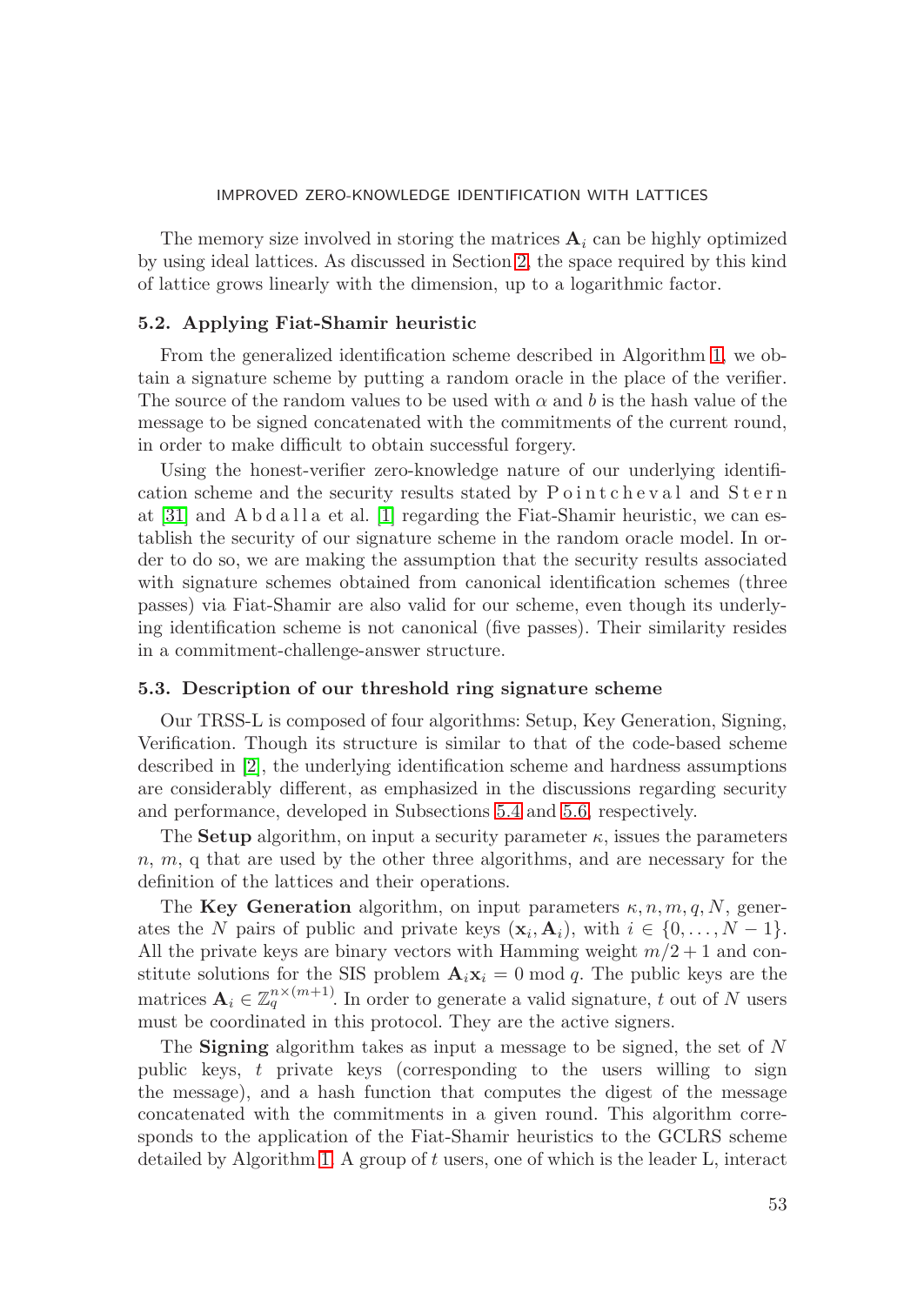The memory size involved in storing the matrices  $A_i$  can be highly optimized by using ideal lattices. As discussed in Section 2, the space required by this kind of lattice grows linearly with the dimension, up to a logarithmic factor.

### **5.2. Applying Fiat-Shamir heuristic**

From the generalized identification scheme described in Algorithm 1, we obtain a signature scheme by putting a random oracle in the place of the verifier. The source of the random values to be used with  $\alpha$  and b is the hash value of the message to be signed concatenated with the commitments of the current round, in order to make difficult to obtain successful forgery.

Using the honest-verifier zero-knowledge nature of our underlying identification scheme and the security results stated by  $P \text{ o in } t \text{ c}$  he v a l and  $S \text{ t}$  e r n at  $[31]$  and A b d a l l a et al.  $[1]$  regarding the Fiat-Shamir heuristic, we can establish the security of our signature scheme in the random oracle model. In order to do so, we are making the assumption that the security results associated with signature schemes obtained from canonical identification schemes (three passes) via Fiat-Shamir are also valid for our scheme, even though its underlying identification scheme is not canonical (five passes). Their similarity resides in a commitment-challenge-answer structure.

### **5.3. Description of our threshold ring signature scheme**

Our TRSS-L is composed of four algorithms: Setup, Key Generation, Signing, Verification. Though its structure is similar to that of the code-based scheme described in [2], the underlying identification scheme and hardness assumptions are considerably different, as emphasized in the discussions regarding security and performance, developed in Subsections 5.4 and 5.6, respectively.

The **Setup** algorithm, on input a security parameter  $\kappa$ , issues the parameters  $n, m, q$  that are used by the other three algorithms, and are necessary for the definition of the lattices and their operations.

The **Key Generation** algorithm, on input parameters  $\kappa$ ,  $n$ ,  $m$ ,  $q$ ,  $N$ , generates the N pairs of public and private keys  $(\mathbf{x}_i, \mathbf{A}_i)$ , with  $i \in \{0, ..., N-1\}$ . All the private keys are binary vectors with Hamming weight  $m/2 + 1$  and constitute solutions for the SIS problem  $\mathbf{A}_i \mathbf{x}_i = 0 \text{ mod } q$ . The public keys are the matrices  $\mathbf{A}_i \in \mathbb{Z}_q^{n \times (m+1)}$ . In order to generate a valid signature, t out of N users must be coordinated in this protocol. They are the active signers.

The **Signing** algorithm takes as input a message to be signed, the set of N public keys, t private keys (corresponding to the users willing to sign the message), and a hash function that computes the digest of the message concatenated with the commitments in a given round. This algorithm corresponds to the application of the Fiat-Shamir heuristics to the GCLRS scheme detailed by Algorithm 1. A group of t users, one of which is the leader L, interact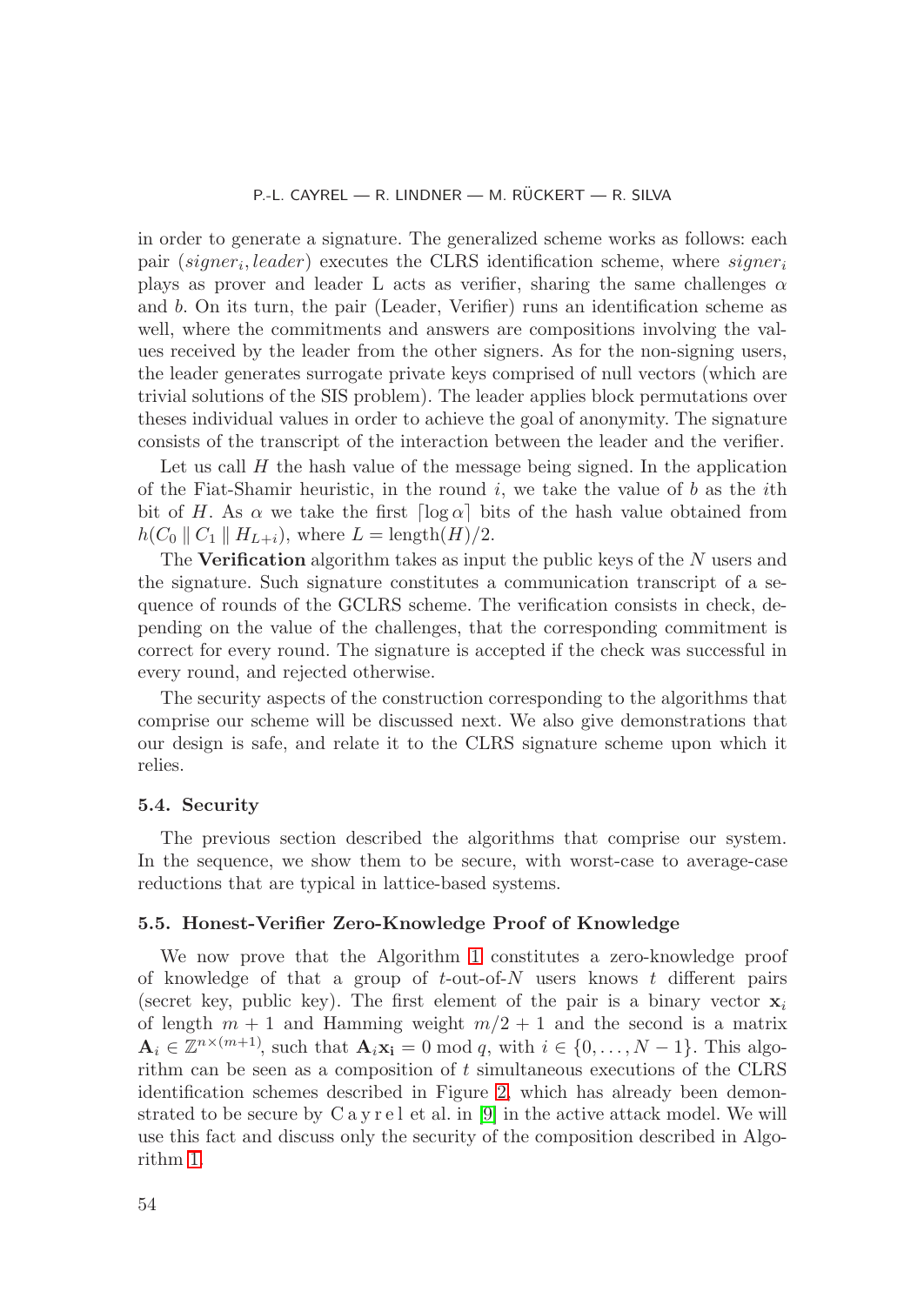in order to generate a signature. The generalized scheme works as follows: each pair (signer<sub>i</sub>, leader) executes the CLRS identification scheme, where  $signer_i$ plays as prover and leader L acts as verifier, sharing the same challenges  $\alpha$ and b. On its turn, the pair (Leader, Verifier) runs an identification scheme as well, where the commitments and answers are compositions involving the values received by the leader from the other signers. As for the non-signing users, the leader generates surrogate private keys comprised of null vectors (which are trivial solutions of the SIS problem). The leader applies block permutations over theses individual values in order to achieve the goal of anonymity. The signature consists of the transcript of the interaction between the leader and the verifier.

Let us call  $H$  the hash value of the message being signed. In the application of the Fiat-Shamir heuristic, in the round  $i$ , we take the value of  $b$  as the *i*th bit of H. As  $\alpha$  we take the first  $\lceil \log \alpha \rceil$  bits of the hash value obtained from  $h(C_0 \| C_1 \| H_{L+i}),$  where  $L = \text{length}(H)/2.$ 

The **Verification** algorithm takes as input the public keys of the N users and the signature. Such signature constitutes a communication transcript of a sequence of rounds of the GCLRS scheme. The verification consists in check, depending on the value of the challenges, that the corresponding commitment is correct for every round. The signature is accepted if the check was successful in every round, and rejected otherwise.

The security aspects of the construction corresponding to the algorithms that comprise our scheme will be discussed next. We also give demonstrations that our design is safe, and relate it to the CLRS signature scheme upon which it relies.

#### **5.4. Security**

The previous section described the algorithms that comprise our system. In the sequence, we show them to be secure, with worst-case to average-case reductions that are typical in lattice-based systems.

### **5.5. Honest-Verifier Zero-Knowledge Proof of Knowledge**

We now prove that the Algorithm 1 constitutes a zero-knowledge proof of knowledge of that a group of  $t$ -out-of-N users knows  $t$  different pairs (secret key, public key). The first element of the pair is a binary vector  $\mathbf{x}_i$ of length  $m + 1$  and Hamming weight  $m/2 + 1$  and the second is a matrix  $\mathbf{A}_i \in \mathbb{Z}^{n \times (m+1)}$ , such that  $\mathbf{A}_i \mathbf{x_i} = 0 \mod q$ , with  $i \in \{0, \ldots, N-1\}$ . This algorithm can be seen as a composition of t simultaneous executions of the CLRS identification schemes described in Figure 2, which has already been demonstrated to be secure by  $C$  a y r e l et al. in [9] in the active attack model. We will use this fact and discuss only the security of the composition described in Algorithm 1.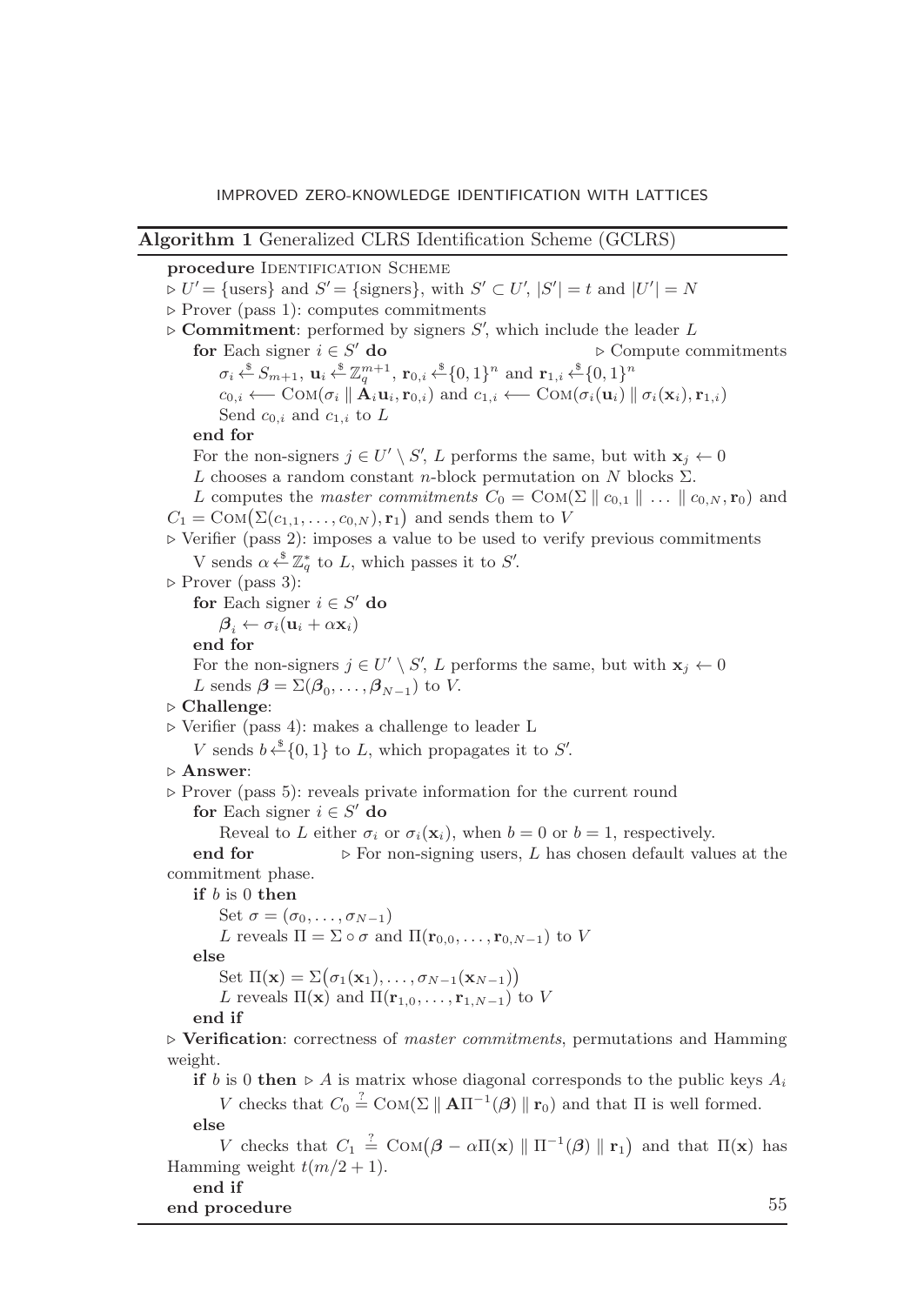## **Algorithm 1** Generalized CLRS Identification Scheme (GCLRS) **procedure** IDENTIFICATION SCHEME  $\triangleright U' = {\text{users}}$  and  $S' = {\text{signers}}$ , with  $S' \subset U'$ ,  $|S'| = t$  and  $|U'| = N$  $\triangleright$  Prover (pass 1): computes commitments  $\triangleright$  **Commitment**: performed by signers S', which include the leader L **for** Each signer  $i \in S'$  **do do** Compute commitments  $\sigma_i \stackrel{\$}{\leftarrow} S_{m+1}$ ,  $\mathbf{u}_i \stackrel{\$}{\leftarrow} \mathbb{Z}_q^{m+1}$ ,  $\mathbf{r}_{0,i} \stackrel{\$}{\leftarrow} \{0,1\}^n$  and  $\mathbf{r}_{1,i} \stackrel{\$}{\leftarrow} \{0,1\}^n$  $c_{0,i} \longleftarrow \text{Com}(\sigma_i \parallel \mathbf{A}_i \mathbf{u}_i, \mathbf{r}_{0,i})$  and  $c_{1,i} \longleftarrow \text{Com}(\sigma_i(\mathbf{u}_i) \parallel \sigma_i(\mathbf{x}_i), \mathbf{r}_{1,i})$ Send  $c_{0,i}$  and  $c_{1,i}$  to L **end for** For the non-signers  $j \in U' \setminus S'$ , L performs the same, but with  $\mathbf{x}_j \leftarrow 0$ L chooses a random constant n-block permutation on N blocks  $\Sigma$ . L computes the *master commitments*  $C_0 = \text{Com}(\Sigma \parallel c_{0,1} \parallel ... \parallel c_{0,N}, \mathbf{r}_0)$  and  $C_1 = \text{COM}(\Sigma(c_{1,1},\ldots,c_{0,N}), \mathbf{r}_1)$  and sends them to V  $\triangleright$  Verifier (pass 2): imposes a value to be used to verify previous commitments V sends  $\alpha \stackrel{\$}{\leftarrow} \mathbb{Z}_q^*$  to L, which passes it to S'.  $\triangleright$  Prover (pass 3): **for** Each signer  $i \in S'$  **do**  $\beta_i \leftarrow \sigma_i(\mathbf{u}_i + \alpha \mathbf{x}_i)$ **end for** For the non-signers  $j \in U' \setminus S'$ , L performs the same, but with  $\mathbf{x}_j \leftarrow 0$ L sends  $\beta = \Sigma(\beta_0, \ldots, \beta_{N-1})$  to V. **Challenge**:  $\triangleright$  Verifier (pass 4): makes a challenge to leader L V sends  $b \stackrel{\$}{\leftarrow} \{0,1\}$  to L, which propagates it to S'. **Answer**:  $\triangleright$  Prover (pass 5): reveals private information for the current round **for** Each signer  $i \in S'$  **do** Reveal to L either  $\sigma_i$  or  $\sigma_i(\mathbf{x}_i)$ , when  $b = 0$  or  $b = 1$ , respectively. **end for**  $\triangleright$  For non-signing users, L has chosen default values at the commitment phase. **if** b is 0 **then** Set  $\sigma = (\sigma_0, \ldots, \sigma_{N-1})$ L reveals  $\Pi = \Sigma \circ \sigma$  and  $\Pi(\mathbf{r}_{0,0},\ldots,\mathbf{r}_{0,N-1})$  to V **else** Set  $\Pi(\mathbf{x}) = \sum (\sigma_1(\mathbf{x}_1), \ldots, \sigma_{N-1}(\mathbf{x}_{N-1}))$ L reveals  $\Pi(\mathbf{x})$  and  $\Pi(\mathbf{r}_{1,0},\ldots,\mathbf{r}_{1,N-1})$  to V **end if Verification**: correctness of *master commitments*, permutations and Hamming weight. **if** b is 0 **then**  $\triangleright$  A is matrix whose diagonal corresponds to the public keys  $A_i$ V checks that  $C_0 \stackrel{?}{=} \text{Com}(\Sigma \parallel \mathbf{A}\Pi^{-1}(\boldsymbol{\beta}) \parallel \mathbf{r}_0)$  and that  $\Pi$  is well formed. **else** V checks that  $C_1 \stackrel{?}{=} \text{Com}(\boldsymbol{\beta} - \alpha \Pi(\mathbf{x}) \parallel \Pi^{-1}(\boldsymbol{\beta}) \parallel \mathbf{r}_1)$  and that  $\Pi(\mathbf{x})$  has

Hamming weight  $t(m/2 + 1)$ .

## **end if**

**end procedure** 55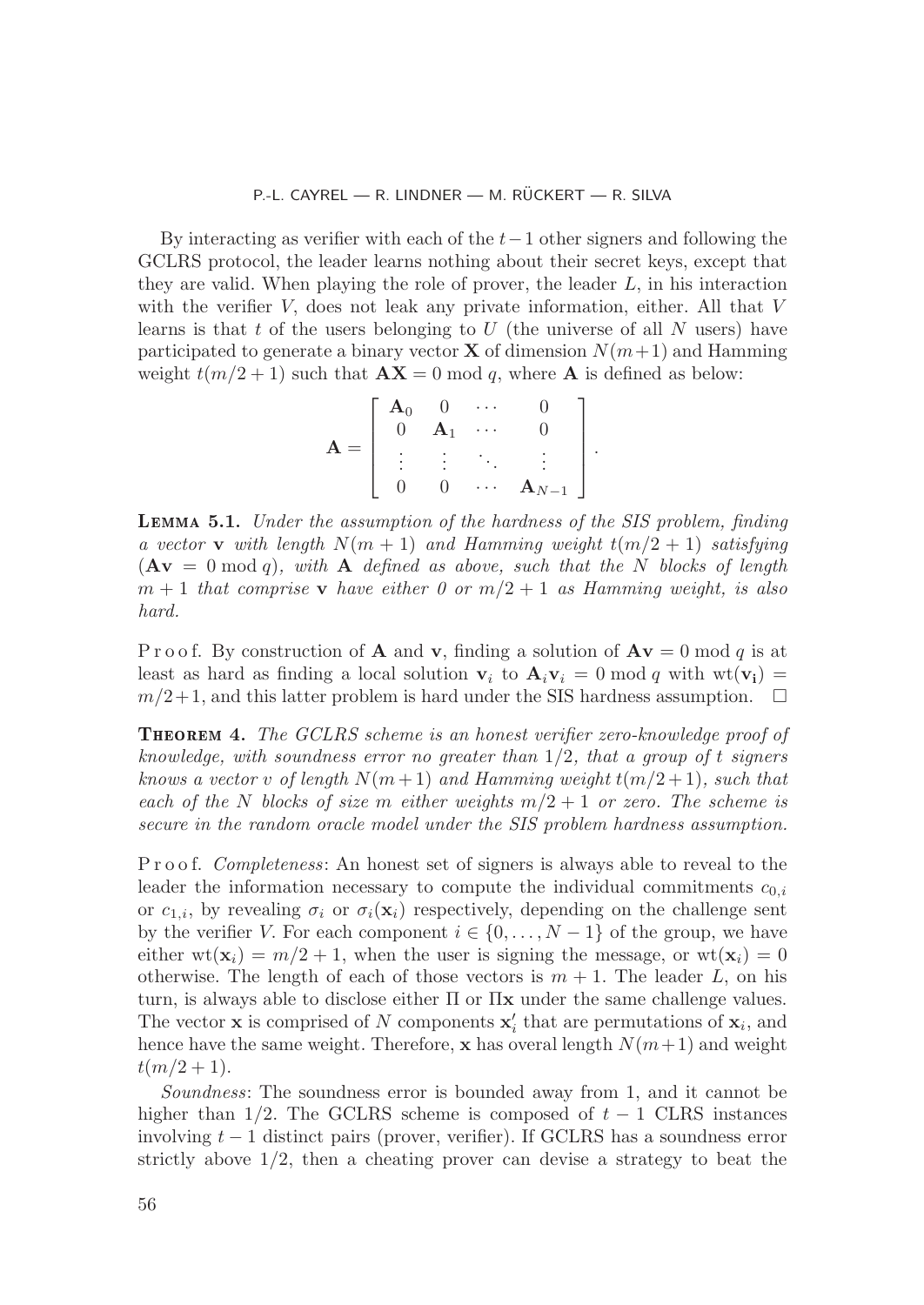By interacting as verifier with each of the  $t-1$  other signers and following the GCLRS protocol, the leader learns nothing about their secret keys, except that they are valid. When playing the role of prover, the leader  $L$ , in his interaction with the verifier  $V$ , does not leak any private information, either. All that  $V$ learns is that t of the users belonging to  $U$  (the universe of all  $N$  users) have participated to generate a binary vector **X** of dimension  $N(m+1)$  and Hamming weight  $t(m/2 + 1)$  such that  $AX = 0 \text{ mod } q$ , where A is defined as below:

$$
\mathbf{A} = \left[ \begin{array}{cccc} \mathbf{A}_0 & 0 & \cdots & 0 \\ 0 & \mathbf{A}_1 & \cdots & 0 \\ \vdots & \vdots & \ddots & \vdots \\ 0 & 0 & \cdots & \mathbf{A}_{N-1} \end{array} \right].
$$

LEMMA 5.1. Under the assumption of the hardness of the SIS problem, finding *a vector* **v** *with length*  $N(m + 1)$  *and Hamming weight*  $t(m/2 + 1)$  *satisfying* (**Av** = 0 mod q)*, with* **A** *defined as above, such that the* N *blocks of length*  $m + 1$  *that comprise* **v** *have either 0 or*  $m/2 + 1$  *as Hamming weight, is also hard.*

P r o o f. By construction of **A** and **v**, finding a solution of  $A$ **v** = 0 mod q is at least as hard as finding a local solution  $\mathbf{v}_i$  to  $\mathbf{A}_i \mathbf{v}_i = 0 \mod q$  with  $\text{wt}(\mathbf{v}_i) =$  $m/2+1$ , and this latter problem is hard under the SIS hardness assumption.  $\Box$ 

**THEOREM 4.** The GCLRS scheme is an honest verifier zero-knowledge proof of *knowledge, with soundness error no greater than* 1/2*, that a group of* t *signers knows a vector* v of length  $N(m+1)$  and Hamming weight  $t(m/2+1)$ *, such that each of the* N *blocks of size* m *either weights* m/2+1 *or zero. The scheme is secure in the random oracle model under the SIS problem hardness assumption.*

P r o o f. *Completeness*: An honest set of signers is always able to reveal to the leader the information necessary to compute the individual commitments  $c_{0,i}$ or  $c_{1,i}$ , by revealing  $\sigma_i$  or  $\sigma_i(\mathbf{x}_i)$  respectively, depending on the challenge sent by the verifier V. For each component  $i \in \{0, \ldots, N-1\}$  of the group, we have either  $wt(\mathbf{x}_i) = m/2 + 1$ , when the user is signing the message, or  $wt(\mathbf{x}_i)=0$ otherwise. The length of each of those vectors is  $m + 1$ . The leader L, on his turn, is always able to disclose either Π or Π**x** under the same challenge values. The vector **x** is comprised of N components  $\mathbf{x}'_i$  that are permutations of  $\mathbf{x}_i$ , and hence have the same weight. Therefore, **x** has overal length  $N(m+1)$  and weight  $t(m/2+1).$ 

*Soundness*: The soundness error is bounded away from 1, and it cannot be higher than 1/2. The GCLRS scheme is composed of  $t-1$  CLRS instances involving  $t - 1$  distinct pairs (prover, verifier). If GCLRS has a soundness error strictly above  $1/2$ , then a cheating prover can devise a strategy to beat the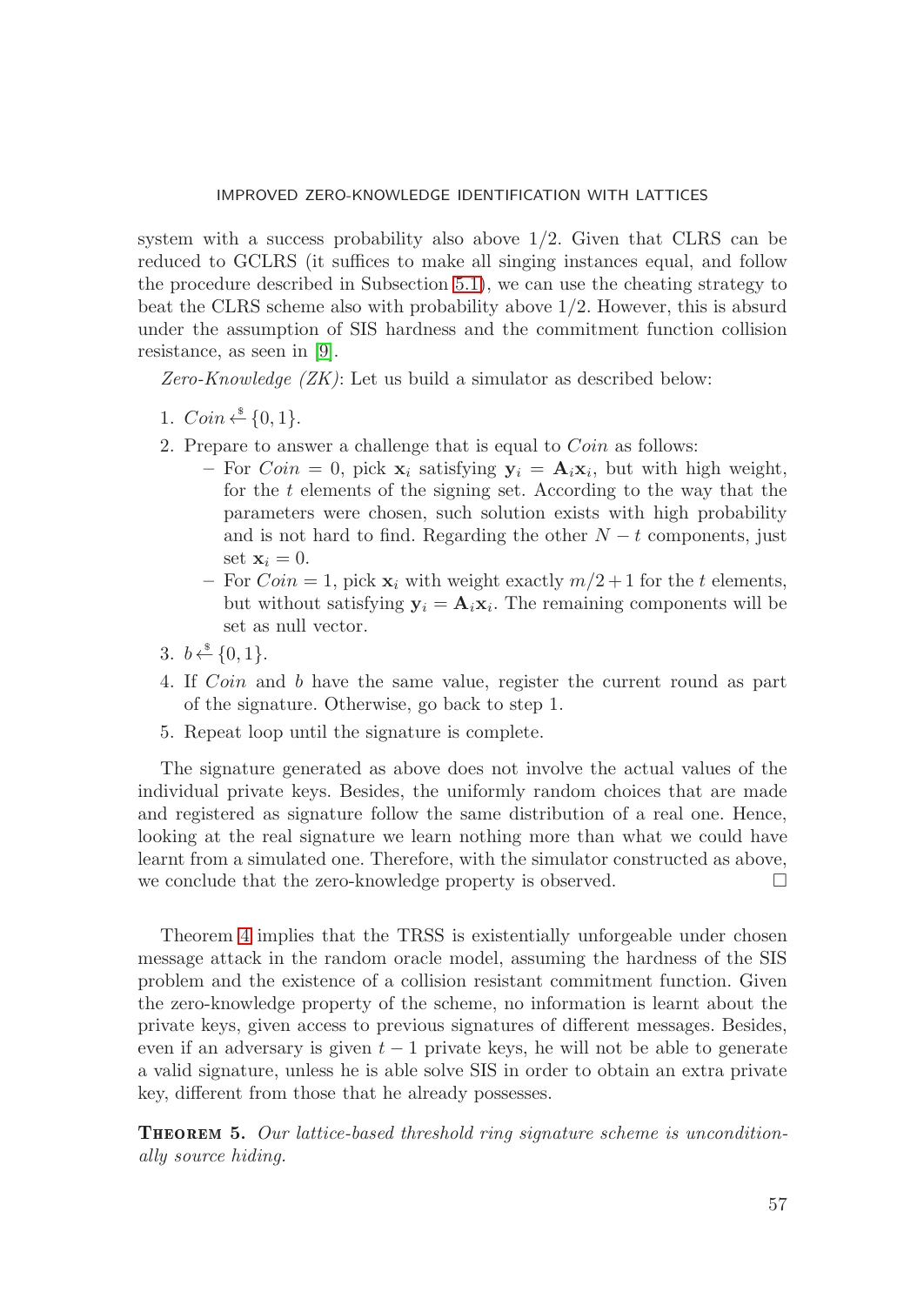system with a success probability also above  $1/2$ . Given that CLRS can be reduced to GCLRS (it suffices to make all singing instances equal, and follow the procedure described in Subsection 5.1), we can use the cheating strategy to beat the CLRS scheme also with probability above 1/2. However, this is absurd under the assumption of SIS hardness and the commitment function collision resistance, as seen in [9].

*Zero-Knowledge (ZK)*: Let us build a simulator as described below:

- 1.  $Coin \xleftarrow{\$} \{0,1\}.$
- 2. Prepare to answer a challenge that is equal to *Coin* as follows:
	- **–** For  $Coin = 0$ , pick  $\mathbf{x}_i$  satisfying  $\mathbf{y}_i = \mathbf{A}_i \mathbf{x}_i$ , but with high weight, for the t elements of the signing set. According to the way that the parameters were chosen, such solution exists with high probability and is not hard to find. Regarding the other  $N - t$  components, just set  $\mathbf{x}_i = 0$ .
	- **–** For  $Coin = 1$ , pick  $\mathbf{x}_i$  with weight exactly  $m/2 + 1$  for the t elements, but without satisfying  $y_i = A_i x_i$ . The remaining components will be set as null vector.
- 3.  $b \stackrel{\$}{\leftarrow} \{0,1\}.$
- 4. If Coin and b have the same value, register the current round as part of the signature. Otherwise, go back to step 1.
- 5. Repeat loop until the signature is complete.

The signature generated as above does not involve the actual values of the individual private keys. Besides, the uniformly random choices that are made and registered as signature follow the same distribution of a real one. Hence, looking at the real signature we learn nothing more than what we could have learnt from a simulated one. Therefore, with the simulator constructed as above, we conclude that the zero-knowledge property is observed.  $\Box$ 

Theorem 4 implies that the TRSS is existentially unforgeable under chosen message attack in the random oracle model, assuming the hardness of the SIS problem and the existence of a collision resistant commitment function. Given the zero-knowledge property of the scheme, no information is learnt about the private keys, given access to previous signatures of different messages. Besides, even if an adversary is given  $t - 1$  private keys, he will not be able to generate a valid signature, unless he is able solve SIS in order to obtain an extra private key, different from those that he already possesses.

**THEOREM 5.** Our lattice-based threshold ring signature scheme is uncondition*ally source hiding.*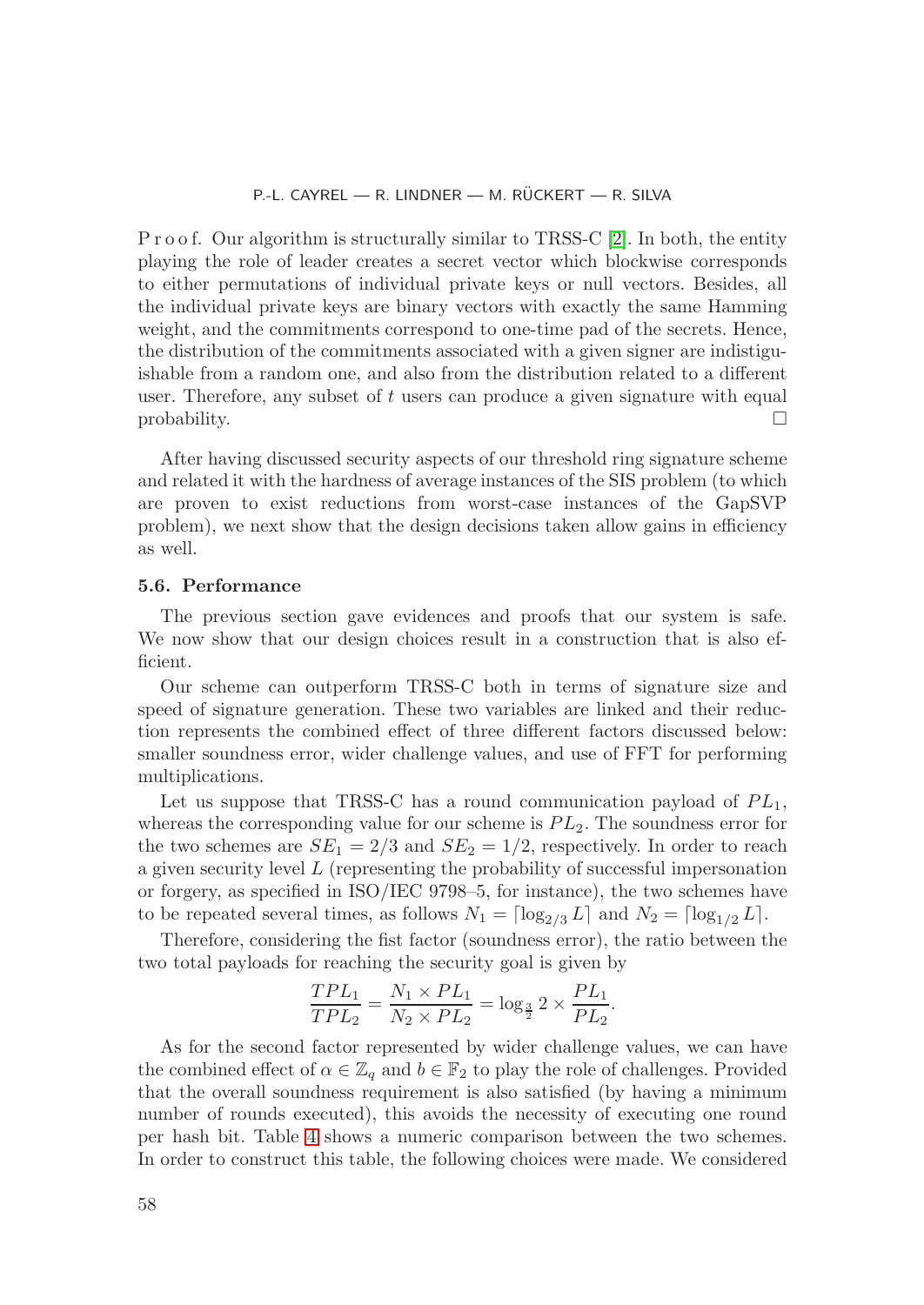P r o o f. Our algorithm is structurally similar to TRSS-C [2]. In both, the entity playing the role of leader creates a secret vector which blockwise corresponds to either permutations of individual private keys or null vectors. Besides, all the individual private keys are binary vectors with exactly the same Hamming weight, and the commitments correspond to one-time pad of the secrets. Hence, the distribution of the commitments associated with a given signer are indistiguishable from a random one, and also from the distribution related to a different user. Therefore, any subset of  $t$  users can produce a given signature with equal probability.  $\Box$ 

After having discussed security aspects of our threshold ring signature scheme and related it with the hardness of average instances of the SIS problem (to which are proven to exist reductions from worst-case instances of the GapSVP problem), we next show that the design decisions taken allow gains in efficiency as well.

## **5.6. Performance**

The previous section gave evidences and proofs that our system is safe. We now show that our design choices result in a construction that is also efficient.

Our scheme can outperform TRSS-C both in terms of signature size and speed of signature generation. These two variables are linked and their reduction represents the combined effect of three different factors discussed below: smaller soundness error, wider challenge values, and use of FFT for performing multiplications.

Let us suppose that TRSS-C has a round communication payload of  $PL_1$ , whereas the corresponding value for our scheme is  $PL_2$ . The soundness error for the two schemes are  $SE_1 = 2/3$  and  $SE_2 = 1/2$ , respectively. In order to reach a given security level L (representing the probability of successful impersonation or forgery, as specified in ISO/IEC 9798–5, for instance), the two schemes have to be repeated several times, as follows  $N_1 = \lceil \log_{2/3} L \rceil$  and  $N_2 = \lceil \log_{1/2} L \rceil$ .

Therefore, considering the fist factor (soundness error), the ratio between the two total payloads for reaching the security goal is given by

$$
\frac{TPL_1}{TPL_2} = \frac{N_1 \times PL_1}{N_2 \times PL_2} = \log_{\frac{3}{2}} 2 \times \frac{PL_1}{PL_2}.
$$

As for the second factor represented by wider challenge values, we can have the combined effect of  $\alpha \in \mathbb{Z}_q$  and  $b \in \mathbb{F}_2$  to play the role of challenges. Provided that the overall soundness requirement is also satisfied (by having a minimum number of rounds executed), this avoids the necessity of executing one round per hash bit. Table 4 shows a numeric comparison between the two schemes. In order to construct this table, the following choices were made. We considered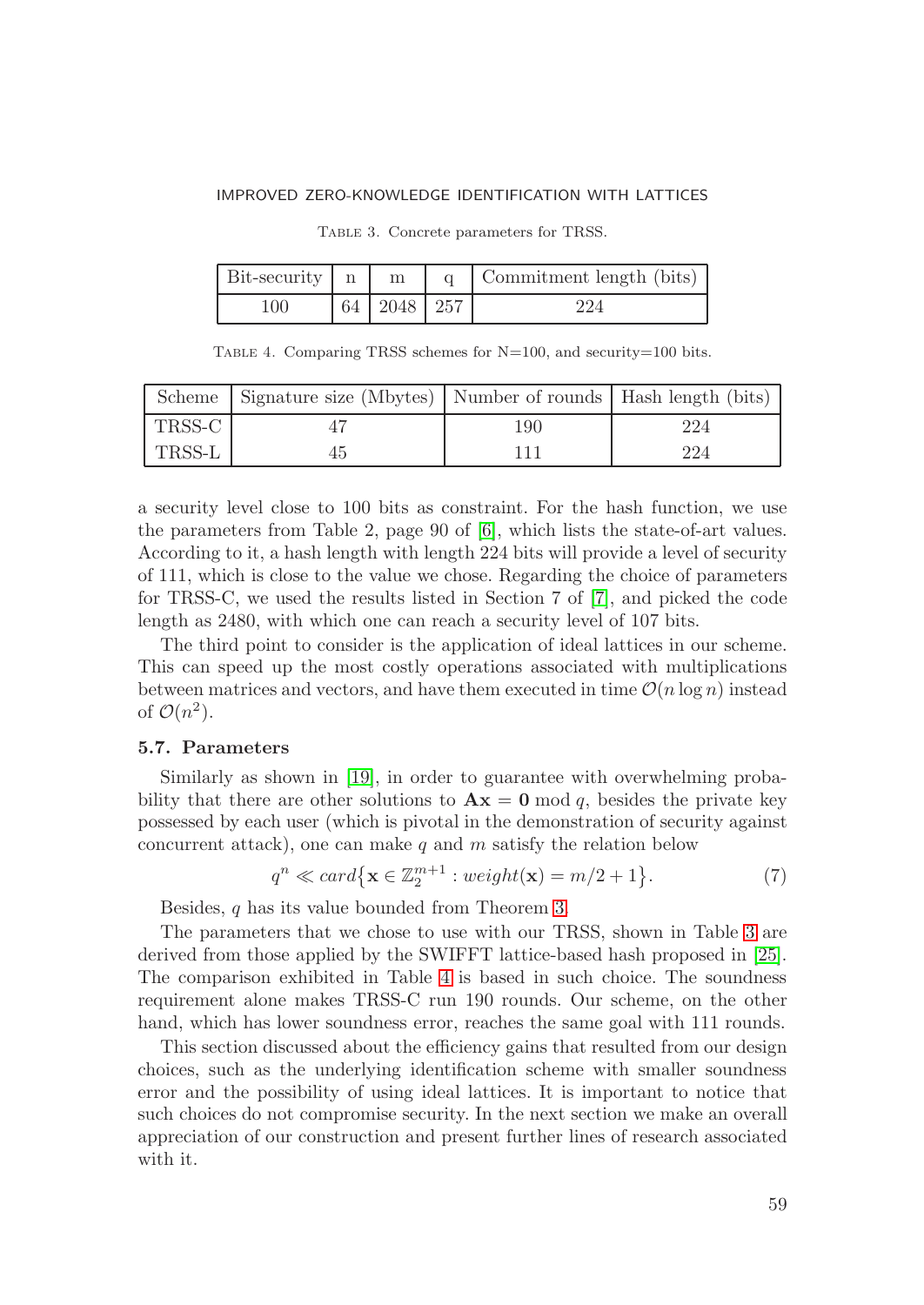| $Bit-security \mid n \mid$ | m           | Commitment length (bits) |
|----------------------------|-------------|--------------------------|
| $100\,$                    | 64 2048 257 | 994                      |

Table 3. Concrete parameters for TRSS.

TABLE 4. Comparing TRSS schemes for  $N=100$ , and security=100 bits.

|        | Scheme Signature size (Mbytes)   Number of rounds   Hash length (bits) |     |     |
|--------|------------------------------------------------------------------------|-----|-----|
| TRSS-C |                                                                        | 190 | 224 |
| TRSS-L |                                                                        |     | 224 |

a security level close to 100 bits as constraint. For the hash function, we use the parameters from Table 2, page 90 of [6], which lists the state-of-art values. According to it, a hash length with length 224 bits will provide a level of security of 111, which is close to the value we chose. Regarding the choice of parameters for TRSS-C, we used the results listed in Section 7 of [7], and picked the code length as 2480, with which one can reach a security level of 107 bits.

The third point to consider is the application of ideal lattices in our scheme. This can speed up the most costly operations associated with multiplications between matrices and vectors, and have them executed in time  $\mathcal{O}(n \log n)$  instead of  $\mathcal{O}(n^2)$ .

### **5.7. Parameters**

Similarly as shown in [19], in order to guarantee with overwhelming probability that there are other solutions to  $\mathbf{A}\mathbf{x} = \mathbf{0} \mod q$ , besides the private key possessed by each user (which is pivotal in the demonstration of security against concurrent attack), one can make  $q$  and  $m$  satisfy the relation below

$$
q^{n} \ll card\{\mathbf{x} \in \mathbb{Z}_{2}^{m+1} : weight(\mathbf{x}) = m/2 + 1\}.
$$
 (7)

Besides, q has its value bounded from Theorem 3.

The parameters that we chose to use with our TRSS, shown in Table 3 are derived from those applied by the SWIFFT lattice-based hash proposed in [25]. The comparison exhibited in Table 4 is based in such choice. The soundness requirement alone makes TRSS-C run 190 rounds. Our scheme, on the other hand, which has lower soundness error, reaches the same goal with 111 rounds.

This section discussed about the efficiency gains that resulted from our design choices, such as the underlying identification scheme with smaller soundness error and the possibility of using ideal lattices. It is important to notice that such choices do not compromise security. In the next section we make an overall appreciation of our construction and present further lines of research associated with it.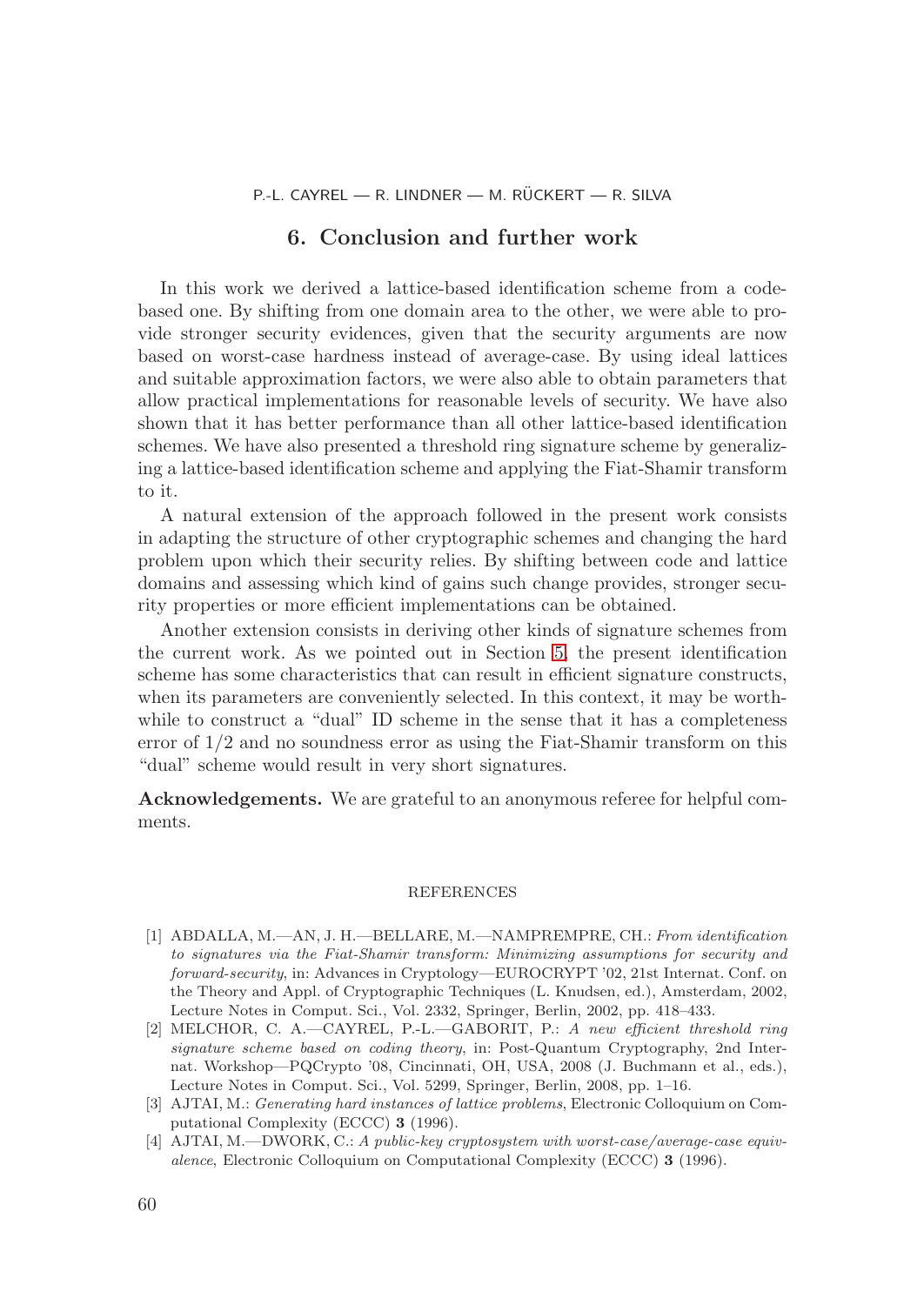## P.-L. CAYREL — R. LINDNER — M. RÜCKERT — R. SILVA

## **6. Conclusion and further work**

In this work we derived a lattice-based identification scheme from a codebased one. By shifting from one domain area to the other, we were able to provide stronger security evidences, given that the security arguments are now based on worst-case hardness instead of average-case. By using ideal lattices and suitable approximation factors, we were also able to obtain parameters that allow practical implementations for reasonable levels of security. We have also shown that it has better performance than all other lattice-based identification schemes. We have also presented a threshold ring signature scheme by generalizing a lattice-based identification scheme and applying the Fiat-Shamir transform to it.

A natural extension of the approach followed in the present work consists in adapting the structure of other cryptographic schemes and changing the hard problem upon which their security relies. By shifting between code and lattice domains and assessing which kind of gains such change provides, stronger security properties or more efficient implementations can be obtained.

Another extension consists in deriving other kinds of signature schemes from the current work. As we pointed out in Section 5, the present identification scheme has some characteristics that can result in efficient signature constructs, when its parameters are conveniently selected. In this context, it may be worthwhile to construct a "dual" ID scheme in the sense that it has a completeness error of  $1/2$  and no soundness error as using the Fiat-Shamir transform on this "dual" scheme would result in very short signatures.

**Acknowledgements.** We are grateful to an anonymous referee for helpful comments.

#### REFERENCES

- [1] ABDALLA, M.—AN, J. H.—BELLARE, M.—NAMPREMPRE, CH.: From identification to signatures via the Fiat-Shamir transform: Minimizing assumptions for security and forward-security, in: Advances in Cryptology—EUROCRYPT '02, 21st Internat. Conf. on the Theory and Appl. of Cryptographic Techniques (L. Knudsen, ed.), Amsterdam, 2002, Lecture Notes in Comput. Sci., Vol. 2332, Springer, Berlin, 2002, pp. 418–433.
- [2] MELCHOR, C. A.—CAYREL, P.-L.—GABORIT, P.: A new efficient threshold ring signature scheme based on coding theory, in: Post-Quantum Cryptography, 2nd Internat. Workshop—PQCrypto '08, Cincinnati, OH, USA, 2008 (J. Buchmann et al., eds.), Lecture Notes in Comput. Sci., Vol. 5299, Springer, Berlin, 2008, pp. 1–16.
- [3] AJTAI, M.: Generating hard instances of lattice problems, Electronic Colloquium on Computational Complexity (ECCC) **3** (1996).
- [4] AJTAI, M.—DWORK, C.: A public-key cryptosystem with worst-case/average-case equivalence, Electronic Colloquium on Computational Complexity (ECCC) **3** (1996).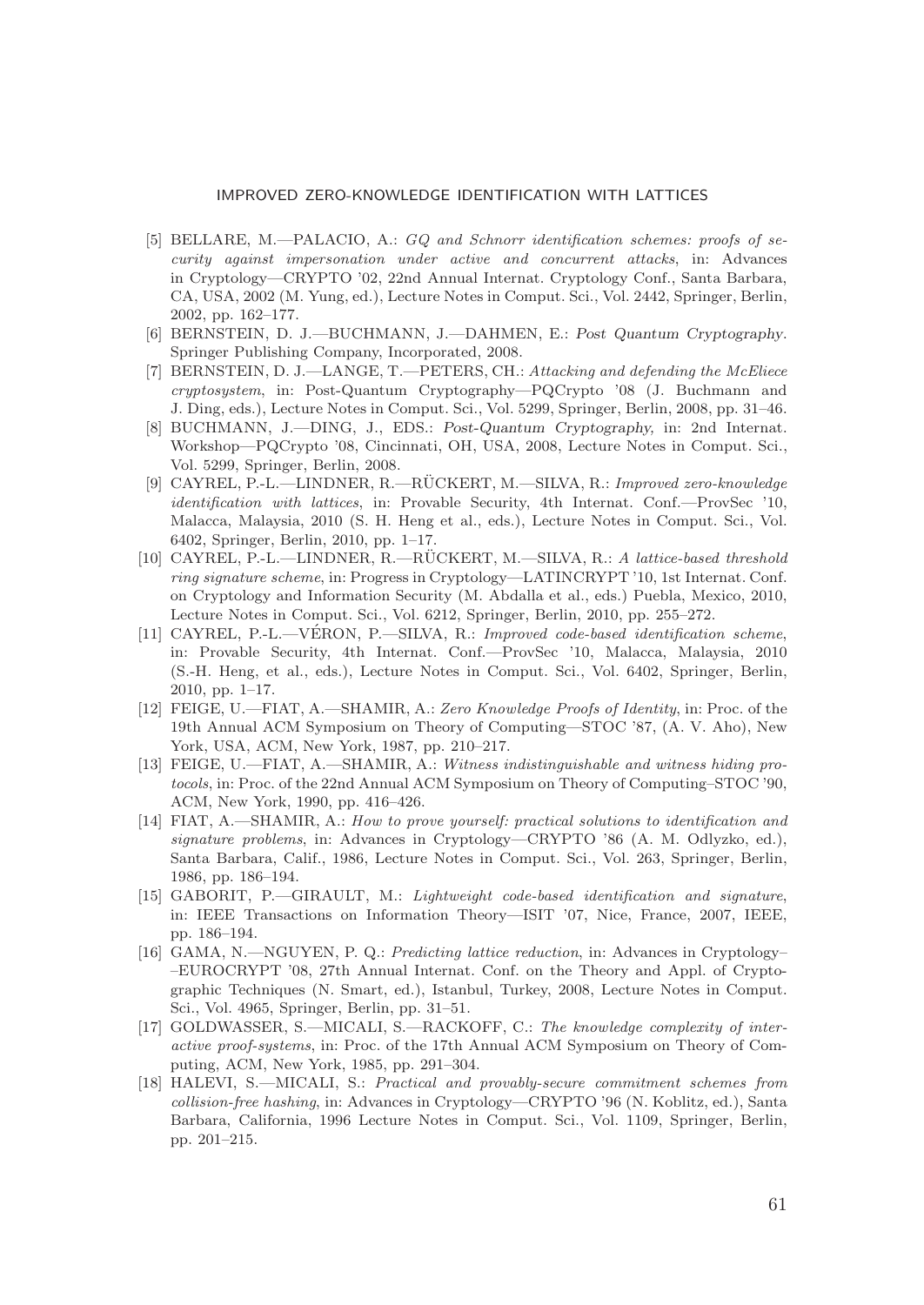- [5] BELLARE, M.—PALACIO, A.: GQ and Schnorr identification schemes: proofs of security against impersonation under active and concurrent attacks, in: Advances in Cryptology—CRYPTO '02, 22nd Annual Internat. Cryptology Conf., Santa Barbara, CA, USA, 2002 (M. Yung, ed.), Lecture Notes in Comput. Sci., Vol. 2442, Springer, Berlin, 2002, pp. 162–177.
- [6] BERNSTEIN, D. J.—BUCHMANN, J.—DAHMEN, E.: *Post Quantum Cryptography*. Springer Publishing Company, Incorporated, 2008.
- [7] BERNSTEIN, D. J.—LANGE, T.—PETERS, CH.: Attacking and defending the McEliece cryptosystem, in: Post-Quantum Cryptography—PQCrypto '08 (J. Buchmann and J. Ding, eds.), Lecture Notes in Comput. Sci., Vol. 5299, Springer, Berlin, 2008, pp. 31–46.
- [8] BUCHMANN, J.—DING, J., EDS.: *Post-Quantum Cryptography,* in: 2nd Internat. Workshop—PQCrypto '08, Cincinnati, OH, USA, 2008, Lecture Notes in Comput. Sci., Vol. 5299, Springer, Berlin, 2008.
- [9] CAYREL, P.-L.—LINDNER, R.—RÜCKERT, M.—SILVA, R.: Improved zero-knowledge identification with lattices, in: Provable Security, 4th Internat. Conf.—ProvSec '10, Malacca, Malaysia, 2010 (S. H. Heng et al., eds.), Lecture Notes in Comput. Sci., Vol. 6402, Springer, Berlin, 2010, pp. 1–17.
- [10] CAYREL, P.-L.—LINDNER, R.—RUCKERT, M.—SILVA, R.: A lattice-based threshold ring signature scheme, in: Progress in Cryptology—LATINCRYPT '10, 1st Internat. Conf. on Cryptology and Information Security (M. Abdalla et al., eds.) Puebla, Mexico, 2010, Lecture Notes in Comput. Sci., Vol. 6212, Springer, Berlin, 2010, pp. 255–272.
- [11] CAYREL, P.-L.—VERON, P.—SILVA, R.: *Improved code-based identification scheme*, in: Provable Security, 4th Internat. Conf.—ProvSec '10, Malacca, Malaysia, 2010 (S.-H. Heng, et al., eds.), Lecture Notes in Comput. Sci., Vol. 6402, Springer, Berlin, 2010, pp. 1–17.
- [12] FEIGE, U.—FIAT, A.—SHAMIR, A.: Zero Knowledge Proofs of Identity, in: Proc. of the 19th Annual ACM Symposium on Theory of Computing—STOC '87, (A. V. Aho), New York, USA, ACM, New York, 1987, pp. 210–217.
- [13] FEIGE, U.—FIAT, A.—SHAMIR, A.: Witness indistinguishable and witness hiding protocols, in: Proc. of the 22nd Annual ACM Symposium on Theory of Computing–STOC '90, ACM, New York, 1990, pp. 416–426.
- [14] FIAT, A.—SHAMIR, A.: How to prove yourself: practical solutions to identification and signature problems, in: Advances in Cryptology—CRYPTO '86 (A. M. Odlyzko, ed.), Santa Barbara, Calif., 1986, Lecture Notes in Comput. Sci., Vol. 263, Springer, Berlin, 1986, pp. 186–194.
- [15] GABORIT, P.—GIRAULT, M.: Lightweight code-based identification and signature, in: IEEE Transactions on Information Theory—ISIT '07, Nice, France, 2007, IEEE, pp. 186–194.
- [16] GAMA, N.—NGUYEN, P. Q.: Predicting lattice reduction, in: Advances in Cryptology– –EUROCRYPT '08, 27th Annual Internat. Conf. on the Theory and Appl. of Cryptographic Techniques (N. Smart, ed.), Istanbul, Turkey, 2008, Lecture Notes in Comput. Sci., Vol. 4965, Springer, Berlin, pp. 31–51.
- [17] GOLDWASSER, S.—MICALI, S.—RACKOFF, C.: The knowledge complexity of interactive proof-systems, in: Proc. of the 17th Annual ACM Symposium on Theory of Computing, ACM, New York, 1985, pp. 291–304.
- [18] HALEVI, S.—MICALI, S.: Practical and provably-secure commitment schemes from collision-free hashing, in: Advances in Cryptology—CRYPTO '96 (N. Koblitz, ed.), Santa Barbara, California, 1996 Lecture Notes in Comput. Sci., Vol. 1109, Springer, Berlin, pp. 201–215.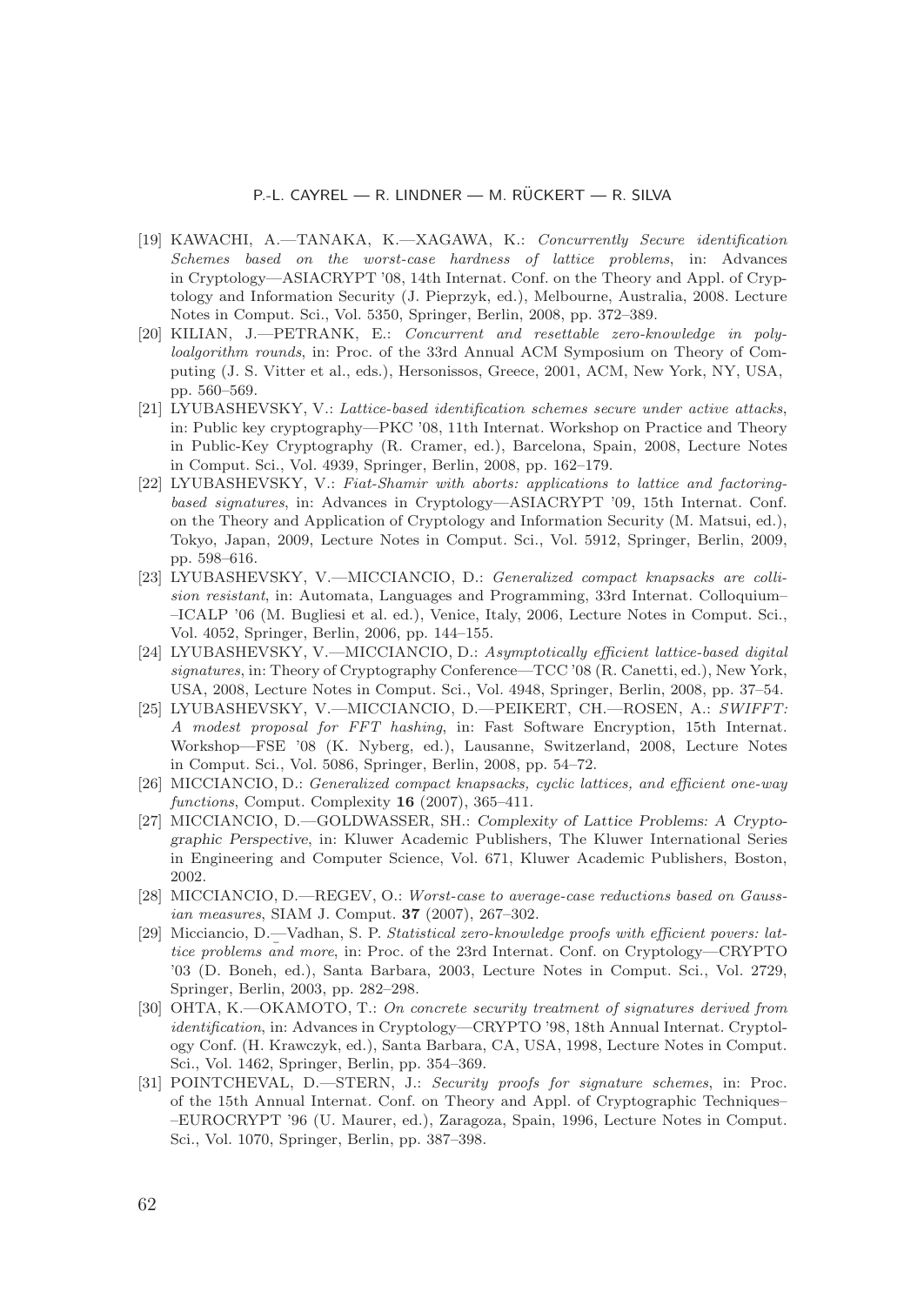### P.-L. CAYREL — R. LINDNER — M. RUCKERT — R. SILVA ¨

- [19] KAWACHI, A.—TANAKA, K.—XAGAWA, K.: Concurrently Secure identification Schemes based on the worst-case hardness of lattice problems, in: Advances in Cryptology—ASIACRYPT '08, 14th Internat. Conf. on the Theory and Appl. of Cryptology and Information Security (J. Pieprzyk, ed.), Melbourne, Australia, 2008. Lecture Notes in Comput. Sci., Vol. 5350, Springer, Berlin, 2008, pp. 372–389.
- [20] KILIAN, J.—PETRANK, E.: Concurrent and resettable zero-knowledge in polyloalgorithm rounds, in: Proc. of the 33rd Annual ACM Symposium on Theory of Computing (J. S. Vitter et al., eds.), Hersonissos, Greece, 2001, ACM, New York, NY, USA, pp. 560–569.
- [21] LYUBASHEVSKY, V.: Lattice-based identification schemes secure under active attacks, in: Public key cryptography—PKC '08, 11th Internat. Workshop on Practice and Theory in Public-Key Cryptography (R. Cramer, ed.), Barcelona, Spain, 2008, Lecture Notes in Comput. Sci., Vol. 4939, Springer, Berlin, 2008, pp. 162–179.
- [22] LYUBASHEVSKY, V.: Fiat-Shamir with aborts: applications to lattice and factoringbased signatures, in: Advances in Cryptology—ASIACRYPT '09, 15th Internat. Conf. on the Theory and Application of Cryptology and Information Security (M. Matsui, ed.), Tokyo, Japan, 2009, Lecture Notes in Comput. Sci., Vol. 5912, Springer, Berlin, 2009, pp. 598–616.
- [23] LYUBASHEVSKY, V.—MICCIANCIO, D.: Generalized compact knapsacks are collision resistant, in: Automata, Languages and Programming, 33rd Internat. Colloquium– –ICALP '06 (M. Bugliesi et al. ed.), Venice, Italy, 2006, Lecture Notes in Comput. Sci., Vol. 4052, Springer, Berlin, 2006, pp. 144–155.
- [24] LYUBASHEVSKY, V.—MICCIANCIO, D.: Asymptotically efficient lattice-based digital signatures, in: Theory of Cryptography Conference—TCC '08 (R. Canetti, ed.), New York, USA, 2008, Lecture Notes in Comput. Sci., Vol. 4948, Springer, Berlin, 2008, pp. 37–54.
- [25] LYUBASHEVSKY, V.—MICCIANCIO, D.—PEIKERT, CH.—ROSEN, A.: SWIFFT: A modest proposal for FFT hashing, in: Fast Software Encryption, 15th Internat. Workshop—FSE '08 (K. Nyberg, ed.), Lausanne, Switzerland, 2008, Lecture Notes in Comput. Sci., Vol. 5086, Springer, Berlin, 2008, pp. 54–72.
- [26] MICCIANCIO, D.: Generalized compact knapsacks, cyclic lattices, and efficient one-way functions, Comput. Complexity **16** (2007), 365–411.
- [27] MICCIANCIO, D.—GOLDWASSER, SH.: *Complexity of Lattice Problems: A Cryptographic Perspective*, in: Kluwer Academic Publishers, The Kluwer International Series in Engineering and Computer Science, Vol. 671, Kluwer Academic Publishers, Boston, 2002.
- [28] MICCIANCIO, D.—REGEV, O.: Worst-case to average-case reductions based on Gaussian measures, SIAM J. Comput. **37** (2007), 267–302.
- [29] Micciancio, D.—Vadhan, S. P. Statistical zero-knowledge proofs with efficient povers: lattice problems and more, in: Proc. of the 23rd Internat. Conf. on Cryptology—CRYPTO '03 (D. Boneh, ed.), Santa Barbara, 2003, Lecture Notes in Comput. Sci., Vol. 2729, Springer, Berlin, 2003, pp. 282–298.
- [30] OHTA, K.—OKAMOTO, T.: On concrete security treatment of signatures derived from identification, in: Advances in Cryptology—CRYPTO '98, 18th Annual Internat. Cryptology Conf. (H. Krawczyk, ed.), Santa Barbara, CA, USA, 1998, Lecture Notes in Comput. Sci., Vol. 1462, Springer, Berlin, pp. 354–369.
- [31] POINTCHEVAL, D.—STERN, J.: Security proofs for signature schemes, in: Proc. of the 15th Annual Internat. Conf. on Theory and Appl. of Cryptographic Techniques– –EUROCRYPT '96 (U. Maurer, ed.), Zaragoza, Spain, 1996, Lecture Notes in Comput. Sci., Vol. 1070, Springer, Berlin, pp. 387–398.